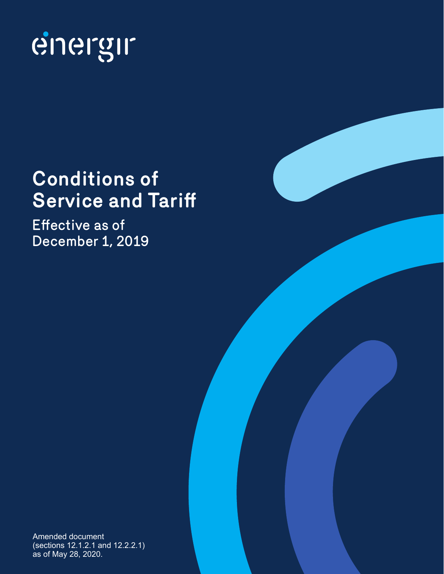

# **Conditions of Service and Tariff**

Effective as of December 1, 2019

Amended document (sections 12.1.2.1 and 12.2.2.1) as of May 28, 2020.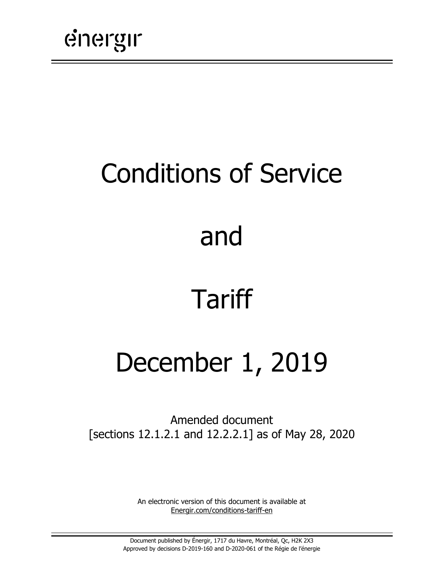# Conditions of Service

# and

# Tariff

# December 1, 2019

Amended document [sections 12.1.2.1 and 12.2.2.1] as of May 28, 2020

> An electronic version of this document is available at [Energir.com/conditions-tariff-en](https://www.energir.com/en/residential/customer-centre/billing-and-pricing/pricing/)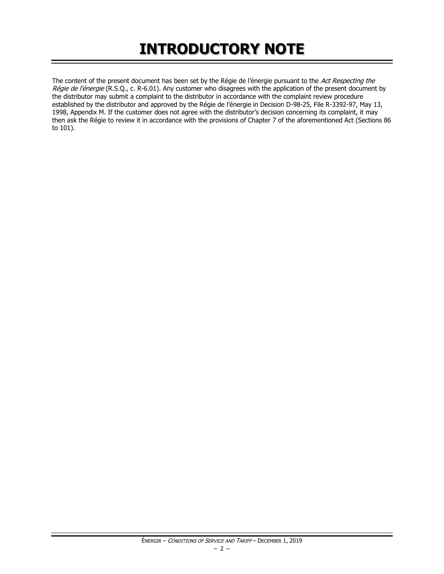## **INTRODUCTORY NOTE**

The content of the present document has been set by the Régie de l'énergie pursuant to the Act Respecting the Régie de l'énergie (R.S.Q., c. R-6.01). Any customer who disagrees with the application of the present document by the distributor may submit a complaint to the distributor in accordance with the complaint review procedure established by the distributor and approved by the Régie de l'énergie in Decision D-98-25, File R-3392-97, May 13, 1998, Appendix M. If the customer does not agree with the distributor's decision concerning its complaint, it may then ask the Régie to review it in accordance with the provisions of Chapter 7 of the aforementioned Act (Sections 86 to 101).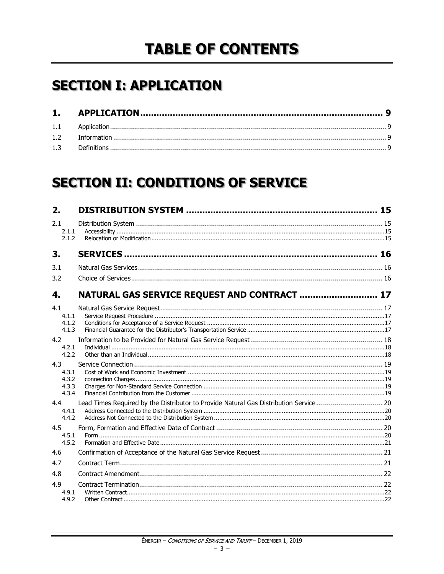## **TABLE OF CONTENTS**

## **SECTION I: APPLICATION**

## **SECTION II: CONDITIONS OF SERVICE**

| 2.                    |                                                                                       |  |
|-----------------------|---------------------------------------------------------------------------------------|--|
| 2.1<br>2.1.1<br>2.1.2 |                                                                                       |  |
| 3.                    |                                                                                       |  |
| 3.1                   |                                                                                       |  |
| 3.2                   |                                                                                       |  |
| 4.                    | NATURAL GAS SERVICE REQUEST AND CONTRACT  17                                          |  |
| 4.1                   |                                                                                       |  |
| 4.1.1                 |                                                                                       |  |
| 4.1.2<br>4.1.3        |                                                                                       |  |
|                       |                                                                                       |  |
| 4.2<br>4.2.1          |                                                                                       |  |
| 4.2.2                 |                                                                                       |  |
| 4.3                   |                                                                                       |  |
| 4.3.1                 |                                                                                       |  |
| 4.3.2                 |                                                                                       |  |
| 4.3.3<br>4.3.4        |                                                                                       |  |
| 4.4                   | Lead Times Required by the Distributor to Provide Natural Gas Distribution Service 20 |  |
| 4.4.1                 |                                                                                       |  |
| 4.4.2                 |                                                                                       |  |
| 4.5                   |                                                                                       |  |
| 4.5.1                 |                                                                                       |  |
| 4.5.2                 |                                                                                       |  |
| 4.6                   |                                                                                       |  |
| 4.7                   |                                                                                       |  |
| 4.8                   |                                                                                       |  |
| 4.9                   |                                                                                       |  |
| 4.9.1                 |                                                                                       |  |
| 4.9.2                 |                                                                                       |  |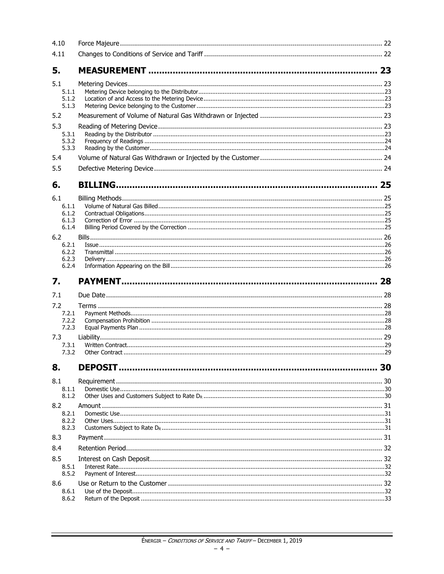| 4.10                                                                               |    |
|------------------------------------------------------------------------------------|----|
| 4.11                                                                               |    |
| 5.                                                                                 |    |
| 5.1<br>5.1.1<br>5.1.2<br>5.1.3                                                     |    |
| 5.2                                                                                |    |
| 5.3<br>5.3.1<br>5.3.2<br>5.3.3                                                     |    |
| 5.4                                                                                |    |
| 5.5                                                                                |    |
| 6.                                                                                 |    |
| 6.1<br>6.1.1<br>6.1.2<br>6.1.3<br>6.1.4<br>6.2<br>6.2.1<br>6.2.2<br>6.2.3<br>6.2.4 |    |
|                                                                                    |    |
| 7.                                                                                 |    |
| 7.1                                                                                |    |
| 7.2                                                                                |    |
| 7.2.1                                                                              |    |
| 7.2.2<br>7.2.3                                                                     |    |
| 7.3<br>7.3.1<br>7.3.2                                                              |    |
| 8.                                                                                 | 30 |
| 8.1<br>8.1.1<br>8.1.2                                                              |    |
| 8.2<br>8.2.1<br>8.2.2<br>8.2.3                                                     |    |
| 8.3                                                                                |    |
| 8.4                                                                                |    |
| 8.5<br>8.5.1<br>8.5.2                                                              |    |
| 8.6                                                                                |    |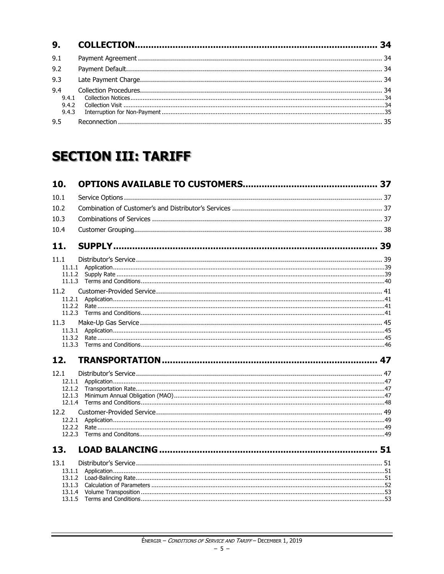| 9.1            |  |
|----------------|--|
| 9.2            |  |
| 9.3            |  |
| 9.4            |  |
| 9.4.1          |  |
| 9.4.2<br>9.4.3 |  |
|                |  |
| 9.5            |  |

## **SECTION III: TARIFF**

| 10.              |  |
|------------------|--|
| 10.1             |  |
| 10.2             |  |
| 10.3             |  |
| 10.4             |  |
| 11.              |  |
|                  |  |
| 11.1<br>11.1.1   |  |
| 11.1.2           |  |
| 11.1.3           |  |
| 11.2             |  |
| 11.2.1           |  |
| 11.2.2<br>11.2.3 |  |
|                  |  |
| 11.3<br>11.3.1   |  |
| 11.3.2           |  |
| 11.3.3           |  |
| 12.              |  |
| 12.1             |  |
| 12.1.1           |  |
| 12.1.2           |  |
| 12.1.3<br>12.1.4 |  |
| 12.2             |  |
| 12.2.1           |  |
| 12.2.2           |  |
| 12.2.3           |  |
| 13.              |  |
| 13.1             |  |
| 13.1.1           |  |
| 13.1.2           |  |
| 13.1.3<br>13.1.4 |  |
| 13.1.5           |  |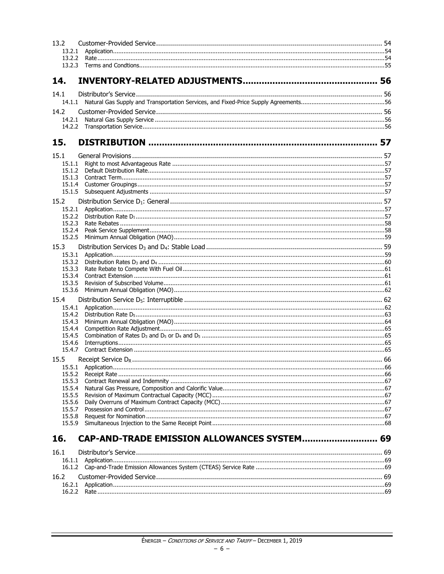| 13.2             |                                             |  |
|------------------|---------------------------------------------|--|
| 13.2.1           |                                             |  |
|                  |                                             |  |
|                  |                                             |  |
| 14.              |                                             |  |
| 14.1             |                                             |  |
|                  |                                             |  |
| 14.2             |                                             |  |
| 14.2.1           |                                             |  |
|                  |                                             |  |
| 15.              |                                             |  |
|                  |                                             |  |
| 15.1             |                                             |  |
| 15.1.1           |                                             |  |
| 15.1.2<br>15.1.3 |                                             |  |
| 15.1.4           |                                             |  |
| 15.1.5           |                                             |  |
| 15.2             |                                             |  |
| 15.2.1           |                                             |  |
| 15.2.2           |                                             |  |
| 15.2.3<br>15.2.4 |                                             |  |
| 15.2.5           |                                             |  |
| 15.3             |                                             |  |
| 15.3.1           |                                             |  |
| 15.3.2           |                                             |  |
| 15.3.3           |                                             |  |
| 15.3.4<br>15.3.5 |                                             |  |
| 15.3.6           |                                             |  |
| 15.4             |                                             |  |
| 15.4.1           |                                             |  |
| 15.4.2           |                                             |  |
| 15.4.3           |                                             |  |
| 15.4.4<br>15.4.5 |                                             |  |
| 15.4.6           |                                             |  |
| 15.4.7           |                                             |  |
| 15.5             |                                             |  |
| 15.5.1           |                                             |  |
| 15.5.2           |                                             |  |
| 15.5.3<br>15.5.4 |                                             |  |
| 15.5.5           |                                             |  |
| 15.5.6           |                                             |  |
| 15.5.7           |                                             |  |
| 15.5.8<br>15.5.9 |                                             |  |
|                  |                                             |  |
| 16.              | CAP-AND-TRADE EMISSION ALLOWANCES SYSTEM 69 |  |
| 16.1             |                                             |  |
|                  |                                             |  |
|                  |                                             |  |
| 16.2             |                                             |  |
| 16.2.1           |                                             |  |
|                  |                                             |  |
|                  |                                             |  |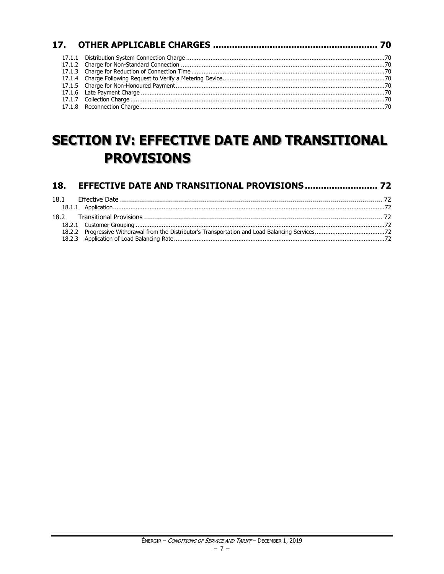## **SECTION IV: EFFECTIVE DATE AND TRANSITIONAL PROVISIONS**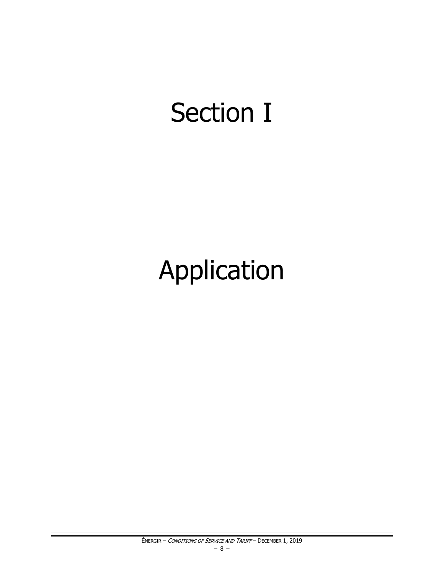# **Section I**

# Application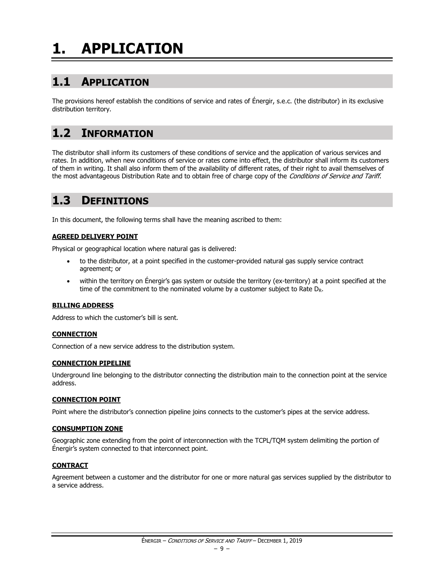# <span id="page-10-0"></span>**1. APPLICATION**

## <span id="page-10-1"></span>**1.1 APPLICATION**

The provisions hereof establish the conditions of service and rates of Énergir, s.e.c. (the distributor) in its exclusive distribution territory.

## <span id="page-10-2"></span>**1.2 INFORMATION**

The distributor shall inform its customers of these conditions of service and the application of various services and rates. In addition, when new conditions of service or rates come into effect, the distributor shall inform its customers of them in writing. It shall also inform them of the availability of different rates, of their right to avail themselves of the most advantageous Distribution Rate and to obtain free of charge copy of the Conditions of Service and Tariff.

## <span id="page-10-3"></span>**1.3 DEFINITIONS**

In this document, the following terms shall have the meaning ascribed to them:

#### **AGREED DELIVERY POINT**

Physical or geographical location where natural gas is delivered:

- to the distributor, at a point specified in the customer-provided natural gas supply service contract agreement; or
- within the territory on Énergir's gas system or outside the territory (ex-territory) at a point specified at the time of the commitment to the nominated volume by a customer subject to Rate  $D_R$ .

#### **BILLING ADDRESS**

Address to which the customer's bill is sent.

#### **CONNECTION**

Connection of a new service address to the distribution system.

#### **CONNECTION PIPELINE**

Underground line belonging to the distributor connecting the distribution main to the connection point at the service address.

#### **CONNECTION POINT**

Point where the distributor's connection pipeline joins connects to the customer's pipes at the service address.

#### **CONSUMPTION ZONE**

Geographic zone extending from the point of interconnection with the TCPL/TQM system delimiting the portion of Énergir's system connected to that interconnect point.

#### **CONTRACT**

Agreement between a customer and the distributor for one or more natural gas services supplied by the distributor to a service address.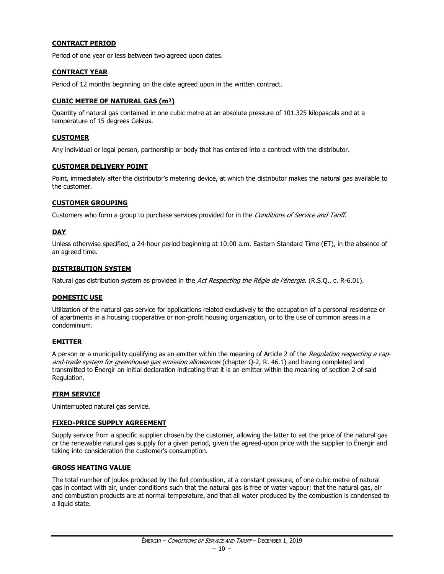#### **CONTRACT PERIOD**

Period of one year or less between two agreed upon dates.

#### **CONTRACT YEAR**

Period of 12 months beginning on the date agreed upon in the written contract.

#### **CUBIC METRE OF NATURAL GAS (m³)**

Quantity of natural gas contained in one cubic metre at an absolute pressure of 101.325 kilopascals and at a temperature of 15 degrees Celsius.

#### **CUSTOMER**

Any individual or legal person, partnership or body that has entered into a contract with the distributor.

#### **CUSTOMER DELIVERY POINT**

Point, immediately after the distributor's metering device, at which the distributor makes the natural gas available to the customer.

#### **CUSTOMER GROUPING**

Customers who form a group to purchase services provided for in the Conditions of Service and Tariff.

#### **DAY**

Unless otherwise specified, a 24-hour period beginning at 10:00 a.m. Eastern Standard Time (ET), in the absence of an agreed time.

#### **DISTRIBUTION SYSTEM**

Natural gas distribution system as provided in the Act Respecting the Régie de l'énergie. (R.S.Q., c. R-6.01).

#### **DOMESTIC USE**

Utilization of the natural gas service for applications related exclusively to the occupation of a personal residence or of apartments in a housing cooperative or non-profit housing organization, or to the use of common areas in a condominium.

#### **EMITTER**

A person or a municipality qualifying as an emitter within the meaning of Article 2 of the Requlation respecting a capand-trade system for greenhouse gas emission allowances (chapter Q-2, R. 46.1) and having completed and transmitted to Énergir an initial declaration indicating that it is an emitter within the meaning of section 2 of said Regulation.

#### **FIRM SERVICE**

Uninterrupted natural gas service.

#### **FIXED-PRICE SUPPLY AGREEMENT**

Supply service from a specific supplier chosen by the customer, allowing the latter to set the price of the natural gas or the renewable natural gas supply for a given period, given the agreed-upon price with the supplier to Énergir and taking into consideration the customer's consumption.

#### **GROSS HEATING VALUE**

The total number of joules produced by the full combustion, at a constant pressure, of one cubic metre of natural gas in contact with air, under conditions such that the natural gas is free of water vapour; that the natural gas, air and combustion products are at normal temperature, and that all water produced by the combustion is condensed to a liquid state.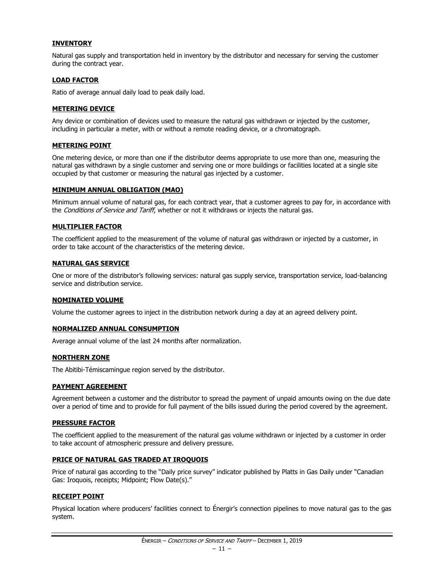#### **INVENTORY**

Natural gas supply and transportation held in inventory by the distributor and necessary for serving the customer during the contract year.

#### **LOAD FACTOR**

Ratio of average annual daily load to peak daily load.

#### **METERING DEVICE**

Any device or combination of devices used to measure the natural gas withdrawn or injected by the customer, including in particular a meter, with or without a remote reading device, or a chromatograph.

#### **METERING POINT**

One metering device, or more than one if the distributor deems appropriate to use more than one, measuring the natural gas withdrawn by a single customer and serving one or more buildings or facilities located at a single site occupied by that customer or measuring the natural gas injected by a customer.

#### **MINIMUM ANNUAL OBLIGATION (MAO)**

Minimum annual volume of natural gas, for each contract year, that a customer agrees to pay for, in accordance with the Conditions of Service and Tariff, whether or not it withdraws or injects the natural gas.

#### **MULTIPLIER FACTOR**

The coefficient applied to the measurement of the volume of natural gas withdrawn or injected by a customer, in order to take account of the characteristics of the metering device.

#### **NATURAL GAS SERVICE**

One or more of the distributor's following services: natural gas supply service, transportation service, load-balancing service and distribution service.

#### **NOMINATED VOLUME**

Volume the customer agrees to inject in the distribution network during a day at an agreed delivery point.

#### **NORMALIZED ANNUAL CONSUMPTION**

Average annual volume of the last 24 months after normalization.

#### **NORTHERN ZONE**

The Abitibi-Témiscamingue region served by the distributor.

#### **PAYMENT AGREEMENT**

Agreement between a customer and the distributor to spread the payment of unpaid amounts owing on the due date over a period of time and to provide for full payment of the bills issued during the period covered by the agreement.

#### **PRESSURE FACTOR**

The coefficient applied to the measurement of the natural gas volume withdrawn or injected by a customer in order to take account of atmospheric pressure and delivery pressure.

#### **PRICE OF NATURAL GAS TRADED AT IROQUOIS**

Price of natural gas according to the "Daily price survey" indicator published by Platts in Gas Daily under "Canadian Gas: Iroquois, receipts; Midpoint; Flow Date(s)."

#### **RECEIPT POINT**

Physical location where producers' facilities connect to Énergir's connection pipelines to move natural gas to the gas system.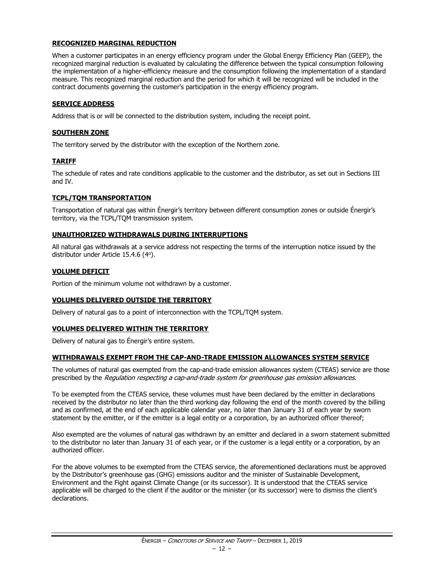#### **RECOGNIZED MARGINAL REDUCTION**

When a customer participates in an energy efficiency program under the Global Energy Efficiency Plan (GEEP), the recognized marginal reduction is evaluated by calculating the difference between the typical consumption following the implementation of a higher-efficiency measure and the consumption following the implementation of a standard measure. This recognized marginal reduction and the period for which it will be recognized will be included in the contract documents governing the customer's participation in the energy efficiency program.

#### **SERVICE ADDRESS**

Address that is or will be connected to the distribution system, including the receipt point.

#### **SOUTHERN ZONE**

The territory served by the distributor with the exception of the Northern zone.

#### **TARIFF**

The schedule of rates and rate conditions applicable to the customer and the distributor, as set out in Sections III and IV.

#### **TCPL/TQM TRANSPORTATION**

Transportation of natural gas within Énergir's territory between different consumption zones or outside Énergir's territory, via the TCPL/TQM transmission system.

#### **UNAUTHORIZED WITHDRAWALS DURING INTERRUPTIONS**

All natural gas withdrawals at a service address not respecting the terms of the interruption notice issued by the distributor under Article 15.4.6 (4°).

#### **VOLUME DEFICIT**

Portion of the minimum volume not withdrawn by a customer.

#### **VOLUMES DELIVERED OUTSIDE THE TERRITORY**

Delivery of natural gas to a point of interconnection with the TCPL/TQM system.

#### **VOLUMES DELIVERED WITHIN THE TERRITORY**

Delivery of natural gas to Énergir's entire system.

#### **WITHDRAWALS EXEMPT FROM THE CAP-AND-TRADE EMISSION ALLOWANCES SYSTEM SERVICE**

The volumes of natural gas exempted from the cap-and-trade emission allowances system (CTEAS) service are those prescribed by the Regulation respecting a cap-and-trade system for greenhouse gas emission allowances.

To be exempted from the CTEAS service, these volumes must have been declared by the emitter in declarations received by the distributor no later than the third working day following the end of the month covered by the billing and as confirmed, at the end of each applicable calendar year, no later than January 31 of each year by sworn statement by the emitter, or if the emitter is a legal entity or a corporation, by an authorized officer thereof;

Also exempted are the volumes of natural gas withdrawn by an emitter and declared in a sworn statement submitted to the distributor no later than January 31 of each year, or if the customer is a legal entity or a corporation, by an authorized officer.

For the above volumes to be exempted from the CTEAS service, the aforementioned declarations must be approved by the Distributor's greenhouse gas (GHG) emissions auditor and the minister of Sustainable Development, Environment and the Fight against Climate Change (or its successor). It is understood that the CTEAS service applicable will be charged to the client if the auditor or the minister (or its successor) were to dismiss the client's declarations.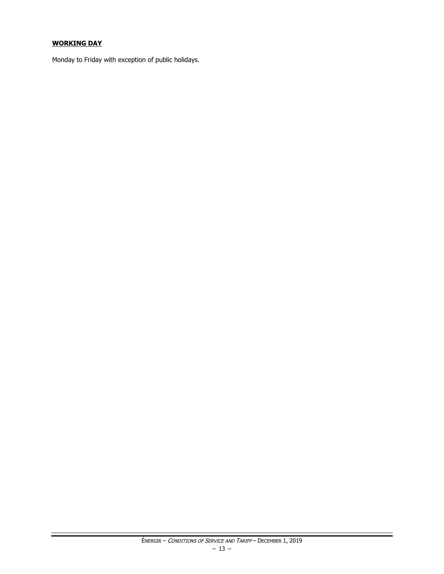#### **WORKING DAY**

Monday to Friday with exception of public holidays.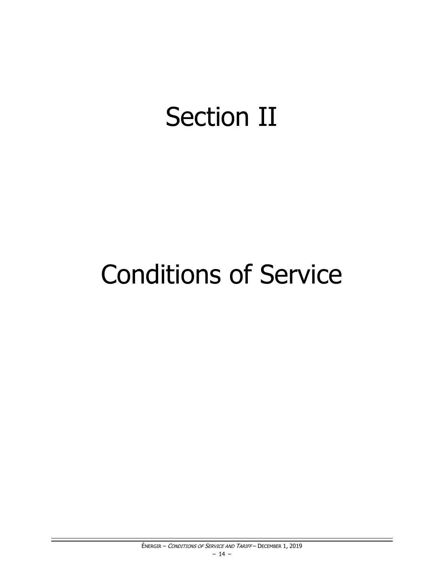# **Section II**

# **Conditions of Service**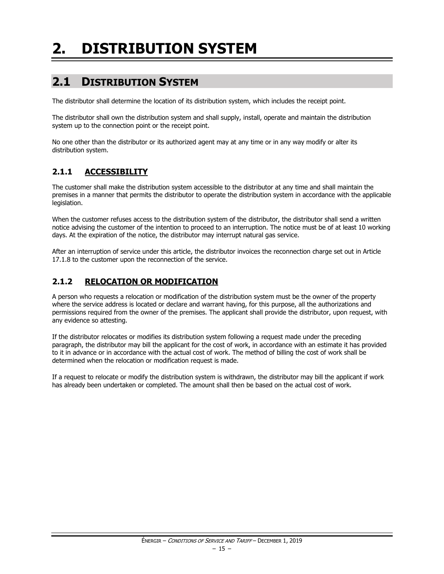# <span id="page-16-0"></span>**2. DISTRIBUTION SYSTEM**

## <span id="page-16-1"></span>**2.1 DISTRIBUTION SYSTEM**

The distributor shall determine the location of its distribution system, which includes the receipt point.

The distributor shall own the distribution system and shall supply, install, operate and maintain the distribution system up to the connection point or the receipt point.

No one other than the distributor or its authorized agent may at any time or in any way modify or alter its distribution system.

#### <span id="page-16-2"></span>**2.1.1 ACCESSIBILITY**

The customer shall make the distribution system accessible to the distributor at any time and shall maintain the premises in a manner that permits the distributor to operate the distribution system in accordance with the applicable legislation.

When the customer refuses access to the distribution system of the distributor, the distributor shall send a written notice advising the customer of the intention to proceed to an interruption. The notice must be of at least 10 working days. At the expiration of the notice, the distributor may interrupt natural gas service.

After an interruption of service under this article, the distributor invoices the reconnection charge set out in Article 17.1.8 to the customer upon the reconnection of the service.

#### <span id="page-16-3"></span>**2.1.2 RELOCATION OR MODIFICATION**

A person who requests a relocation or modification of the distribution system must be the owner of the property where the service address is located or declare and warrant having, for this purpose, all the authorizations and permissions required from the owner of the premises. The applicant shall provide the distributor, upon request, with any evidence so attesting.

If the distributor relocates or modifies its distribution system following a request made under the preceding paragraph, the distributor may bill the applicant for the cost of work, in accordance with an estimate it has provided to it in advance or in accordance with the actual cost of work. The method of billing the cost of work shall be determined when the relocation or modification request is made.

If a request to relocate or modify the distribution system is withdrawn, the distributor may bill the applicant if work has already been undertaken or completed. The amount shall then be based on the actual cost of work.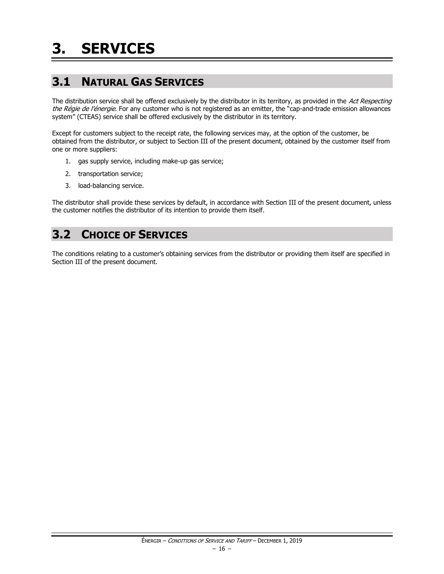## <span id="page-17-1"></span><span id="page-17-0"></span>**3.1 NATURAL GAS SERVICES**

The distribution service shall be offered exclusively by the distributor in its territory, as provided in the Act Respecting the Régie de l'énergie. For any customer who is not registered as an emitter, the "cap-and-trade emission allowances system" (CTEAS) service shall be offered exclusively by the distributor in its territory.

Except for customers subject to the receipt rate, the following services may, at the option of the customer, be obtained from the distributor, or subject to Section III of the present document, obtained by the customer itself from one or more suppliers:

- 1. gas supply service, including make-up gas service;
- 2. transportation service;
- 3. load-balancing service.

The distributor shall provide these services by default, in accordance with Section III of the present document, unless the customer notifies the distributor of its intention to provide them itself.

## <span id="page-17-2"></span>**3.2 CHOICE OF SERVICES**

The conditions relating to a customer's obtaining services from the distributor or providing them itself are specified in Section III of the present document.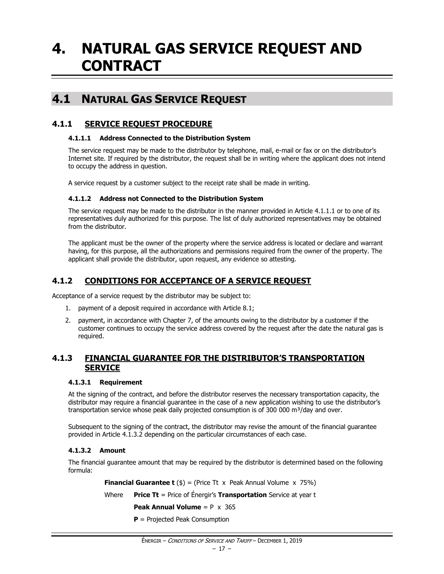## <span id="page-18-0"></span>**4. NATURAL GAS SERVICE REQUEST AND CONTRACT**

### <span id="page-18-1"></span>**4.1 NATURAL GAS SERVICE REQUEST**

#### <span id="page-18-2"></span>**4.1.1 SERVICE REQUEST PROCEDURE**

#### **4.1.1.1 Address Connected to the Distribution System**

The service request may be made to the distributor by telephone, mail, e-mail or fax or on the distributor's Internet site. If required by the distributor, the request shall be in writing where the applicant does not intend to occupy the address in question.

A service request by a customer subject to the receipt rate shall be made in writing.

#### **4.1.1.2 Address not Connected to the Distribution System**

The service request may be made to the distributor in the manner provided in Article 4.1.1.1 or to one of its representatives duly authorized for this purpose. The list of duly authorized representatives may be obtained from the distributor.

The applicant must be the owner of the property where the service address is located or declare and warrant having, for this purpose, all the authorizations and permissions required from the owner of the property. The applicant shall provide the distributor, upon request, any evidence so attesting.

#### <span id="page-18-3"></span>**4.1.2 CONDITIONS FOR ACCEPTANCE OF A SERVICE REQUEST**

Acceptance of a service request by the distributor may be subject to:

- 1. payment of a deposit required in accordance with Article 8.1;
- 2. payment, in accordance with Chapter 7, of the amounts owing to the distributor by a customer if the customer continues to occupy the service address covered by the request after the date the natural gas is required.

#### <span id="page-18-4"></span>**4.1.3 FINANCIAL GUARANTEE FOR THE DISTRIBUTOR'S TRANSPORTATION SERVICE**

#### **4.1.3.1 Requirement**

At the signing of the contract, and before the distributor reserves the necessary transportation capacity, the distributor may require a financial guarantee in the case of a new application wishing to use the distributor's transportation service whose peak daily projected consumption is of 300 000  $\text{m}^3/\text{day}$  and over.

Subsequent to the signing of the contract, the distributor may revise the amount of the financial guarantee provided in Article 4.1.3.2 depending on the particular circumstances of each case.

#### **4.1.3.2 Amount**

The financial guarantee amount that may be required by the distributor is determined based on the following formula:

**Financial Guarantee t**  $(\$) =$  (Price Tt x Peak Annual Volume x 75%)

Where **Price Tt** = Price of Énergir's **Transportation** Service at year t

**Peak Annual Volume** = P x 365

**P** = Projected Peak Consumption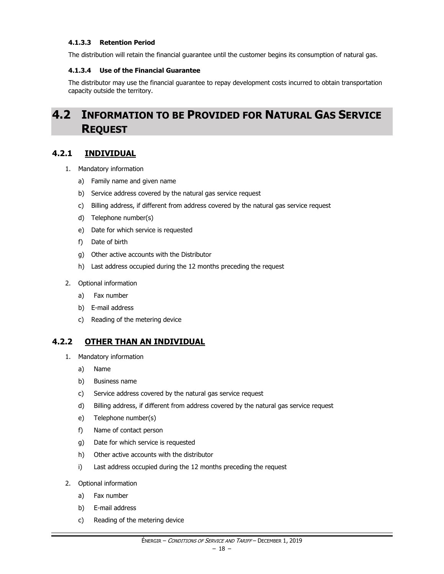#### **4.1.3.3 Retention Period**

The distribution will retain the financial guarantee until the customer begins its consumption of natural gas.

#### **4.1.3.4 Use of the Financial Guarantee**

The distributor may use the financial guarantee to repay development costs incurred to obtain transportation capacity outside the territory.

## <span id="page-19-0"></span>**4.2 INFORMATION TO BE PROVIDED FOR NATURAL GAS SERVICE REQUEST**

#### <span id="page-19-1"></span>**4.2.1 INDIVIDUAL**

- 1. Mandatory information
	- a) Family name and given name
	- b) Service address covered by the natural gas service request
	- c) Billing address, if different from address covered by the natural gas service request
	- d) Telephone number(s)
	- e) Date for which service is requested
	- f) Date of birth
	- g) Other active accounts with the Distributor
	- h) Last address occupied during the 12 months preceding the request
- 2. Optional information
	- a) Fax number
	- b) E-mail address
	- c) Reading of the metering device

#### <span id="page-19-2"></span>**4.2.2 OTHER THAN AN INDIVIDUAL**

- 1. Mandatory information
	- a) Name
	- b) Business name
	- c) Service address covered by the natural gas service request
	- d) Billing address, if different from address covered by the natural gas service request
	- e) Telephone number(s)
	- f) Name of contact person
	- g) Date for which service is requested
	- h) Other active accounts with the distributor
	- i) Last address occupied during the 12 months preceding the request
- 2. Optional information
	- a) Fax number
	- b) E-mail address
	- c) Reading of the metering device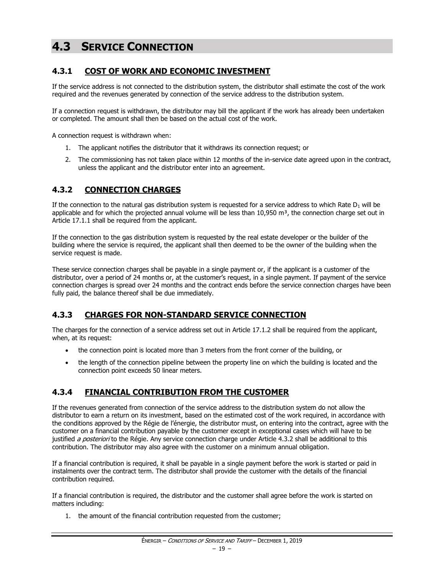## <span id="page-20-0"></span>**4.3 SERVICE CONNECTION**

#### <span id="page-20-1"></span>**4.3.1 COST OF WORK AND ECONOMIC INVESTMENT**

If the service address is not connected to the distribution system, the distributor shall estimate the cost of the work required and the revenues generated by connection of the service address to the distribution system.

If a connection request is withdrawn, the distributor may bill the applicant if the work has already been undertaken or completed. The amount shall then be based on the actual cost of the work.

A connection request is withdrawn when:

- 1. The applicant notifies the distributor that it withdraws its connection request; or
- 2. The commissioning has not taken place within 12 months of the in-service date agreed upon in the contract, unless the applicant and the distributor enter into an agreement.

#### <span id="page-20-2"></span>**4.3.2 CONNECTION CHARGES**

If the connection to the natural gas distribution system is requested for a service address to which Rate  $D_1$  will be applicable and for which the projected annual volume will be less than  $10,950$  m<sup>3</sup>, the connection charge set out in Article 17.1.1 shall be required from the applicant.

If the connection to the gas distribution system is requested by the real estate developer or the builder of the building where the service is required, the applicant shall then deemed to be the owner of the building when the service request is made.

These service connection charges shall be payable in a single payment or, if the applicant is a customer of the distributor, over a period of 24 months or, at the customer's request, in a single payment. If payment of the service connection charges is spread over 24 months and the contract ends before the service connection charges have been fully paid, the balance thereof shall be due immediately.

#### <span id="page-20-3"></span>**4.3.3 CHARGES FOR NON-STANDARD SERVICE CONNECTION**

The charges for the connection of a service address set out in Article 17.1.2 shall be required from the applicant, when, at its request:

- the connection point is located more than 3 meters from the front corner of the building, or
- the length of the connection pipeline between the property line on which the building is located and the connection point exceeds 50 linear meters.

#### <span id="page-20-4"></span>**4.3.4 FINANCIAL CONTRIBUTION FROM THE CUSTOMER**

If the revenues generated from connection of the service address to the distribution system do not allow the distributor to earn a return on its investment, based on the estimated cost of the work required, in accordance with the conditions approved by the Régie de l'énergie, the distributor must, on entering into the contract, agree with the customer on a financial contribution payable by the customer except in exceptional cases which will have to be justified a posteriori to the Régie. Any service connection charge under Article 4.3.2 shall be additional to this contribution. The distributor may also agree with the customer on a minimum annual obligation.

If a financial contribution is required, it shall be payable in a single payment before the work is started or paid in instalments over the contract term. The distributor shall provide the customer with the details of the financial contribution required.

If a financial contribution is required, the distributor and the customer shall agree before the work is started on matters including:

1. the amount of the financial contribution requested from the customer;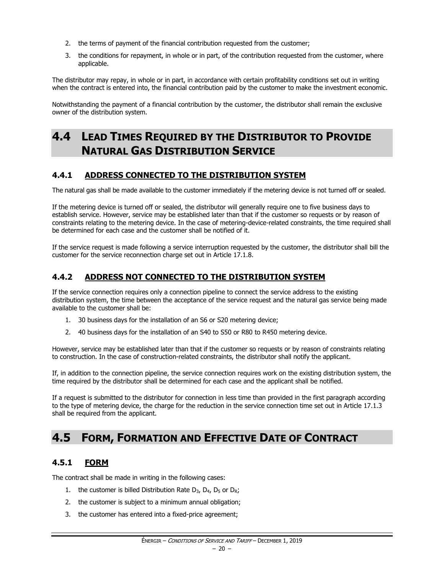- 2. the terms of payment of the financial contribution requested from the customer;
- 3. the conditions for repayment, in whole or in part, of the contribution requested from the customer, where applicable.

The distributor may repay, in whole or in part, in accordance with certain profitability conditions set out in writing when the contract is entered into, the financial contribution paid by the customer to make the investment economic.

Notwithstanding the payment of a financial contribution by the customer, the distributor shall remain the exclusive owner of the distribution system.

## <span id="page-21-0"></span>**4.4 LEAD TIMES REQUIRED BY THE DISTRIBUTOR TO PROVIDE NATURAL GAS DISTRIBUTION SERVICE**

#### <span id="page-21-1"></span>**4.4.1 ADDRESS CONNECTED TO THE DISTRIBUTION SYSTEM**

The natural gas shall be made available to the customer immediately if the metering device is not turned off or sealed.

If the metering device is turned off or sealed, the distributor will generally require one to five business days to establish service. However, service may be established later than that if the customer so requests or by reason of constraints relating to the metering device. In the case of metering-device-related constraints, the time required shall be determined for each case and the customer shall be notified of it.

If the service request is made following a service interruption requested by the customer, the distributor shall bill the customer for the service reconnection charge set out in Article 17.1.8.

#### <span id="page-21-2"></span>**4.4.2 ADDRESS NOT CONNECTED TO THE DISTRIBUTION SYSTEM**

If the service connection requires only a connection pipeline to connect the service address to the existing distribution system, the time between the acceptance of the service request and the natural gas service being made available to the customer shall be:

- 1. 30 business days for the installation of an S6 or S20 metering device;
- 2. 40 business days for the installation of an S40 to S50 or R80 to R450 metering device.

However, service may be established later than that if the customer so requests or by reason of constraints relating to construction. In the case of construction-related constraints, the distributor shall notify the applicant.

If, in addition to the connection pipeline, the service connection requires work on the existing distribution system, the time required by the distributor shall be determined for each case and the applicant shall be notified.

If a request is submitted to the distributor for connection in less time than provided in the first paragraph according to the type of metering device, the charge for the reduction in the service connection time set out in Article 17.1.3 shall be required from the applicant.

### <span id="page-21-3"></span>**4.5 FORM, FORMATION AND EFFECTIVE DATE OF CONTRACT**

#### <span id="page-21-4"></span>**4.5.1 FORM**

The contract shall be made in writing in the following cases:

- 1. the customer is billed Distribution Rate  $D_3$ ,  $D_4$ ,  $D_5$  or  $D_R$ ;
- 2. the customer is subject to a minimum annual obligation;
- 3. the customer has entered into a fixed-price agreement;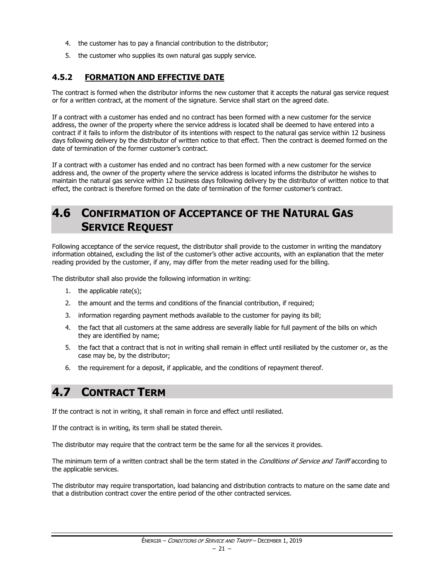- 4. the customer has to pay a financial contribution to the distributor;
- 5. the customer who supplies its own natural gas supply service.

#### <span id="page-22-0"></span>**4.5.2 FORMATION AND EFFECTIVE DATE**

The contract is formed when the distributor informs the new customer that it accepts the natural gas service request or for a written contract, at the moment of the signature. Service shall start on the agreed date.

If a contract with a customer has ended and no contract has been formed with a new customer for the service address, the owner of the property where the service address is located shall be deemed to have entered into a contract if it fails to inform the distributor of its intentions with respect to the natural gas service within 12 business days following delivery by the distributor of written notice to that effect. Then the contract is deemed formed on the date of termination of the former customer's contract.

If a contract with a customer has ended and no contract has been formed with a new customer for the service address and, the owner of the property where the service address is located informs the distributor he wishes to maintain the natural gas service within 12 business days following delivery by the distributor of written notice to that effect, the contract is therefore formed on the date of termination of the former customer's contract.

## <span id="page-22-1"></span>**4.6 CONFIRMATION OF ACCEPTANCE OF THE NATURAL GAS SERVICE REQUEST**

Following acceptance of the service request, the distributor shall provide to the customer in writing the mandatory information obtained, excluding the list of the customer's other active accounts, with an explanation that the meter reading provided by the customer, if any, may differ from the meter reading used for the billing.

The distributor shall also provide the following information in writing:

- 1. the applicable rate(s);
- 2. the amount and the terms and conditions of the financial contribution, if required;
- 3. information regarding payment methods available to the customer for paying its bill;
- 4. the fact that all customers at the same address are severally liable for full payment of the bills on which they are identified by name;
- 5. the fact that a contract that is not in writing shall remain in effect until resiliated by the customer or, as the case may be, by the distributor;
- 6. the requirement for a deposit, if applicable, and the conditions of repayment thereof.

### <span id="page-22-2"></span>**4.7 CONTRACT TERM**

If the contract is not in writing, it shall remain in force and effect until resiliated.

If the contract is in writing, its term shall be stated therein.

The distributor may require that the contract term be the same for all the services it provides.

The minimum term of a written contract shall be the term stated in the Conditions of Service and Tariff according to the applicable services.

The distributor may require transportation, load balancing and distribution contracts to mature on the same date and that a distribution contract cover the entire period of the other contracted services.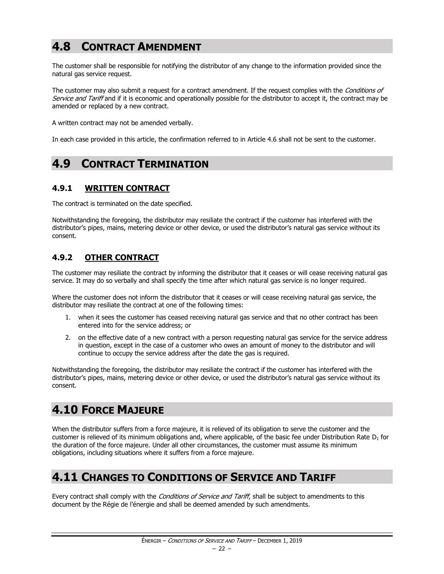## <span id="page-23-0"></span>**4.8 CONTRACT AMENDMENT**

The customer shall be responsible for notifying the distributor of any change to the information provided since the natural gas service request.

The customer may also submit a request for a contract amendment. If the request complies with the *Conditions of* Service and Tariff and if it is economic and operationally possible for the distributor to accept it, the contract may be amended or replaced by a new contract.

A written contract may not be amended verbally.

In each case provided in this article, the confirmation referred to in Article 4.6 shall not be sent to the customer.

## <span id="page-23-1"></span>**4.9 CONTRACT TERMINATION**

#### <span id="page-23-2"></span>**4.9.1 WRITTEN CONTRACT**

The contract is terminated on the date specified.

Notwithstanding the foregoing, the distributor may resiliate the contract if the customer has interfered with the distributor's pipes, mains, metering device or other device, or used the distributor's natural gas service without its consent.

#### <span id="page-23-3"></span>**4.9.2 OTHER CONTRACT**

The customer may resiliate the contract by informing the distributor that it ceases or will cease receiving natural gas service. It may do so verbally and shall specify the time after which natural gas service is no longer required.

Where the customer does not inform the distributor that it ceases or will cease receiving natural gas service, the distributor may resiliate the contract at one of the following times:

- 1. when it sees the customer has ceased receiving natural gas service and that no other contract has been entered into for the service address; or
- 2. on the effective date of a new contract with a person requesting natural gas service for the service address in question, except in the case of a customer who owes an amount of money to the distributor and will continue to occupy the service address after the date the gas is required.

Notwithstanding the foregoing, the distributor may resiliate the contract if the customer has interfered with the distributor's pipes, mains, metering device or other device, or used the distributor's natural gas service without its consent.

## <span id="page-23-4"></span>**4.10 FORCE MAJEURE**

When the distributor suffers from a force majeure, it is relieved of its obligation to serve the customer and the customer is relieved of its minimum obligations and, where applicable, of the basic fee under Distribution Rate  $D_1$  for the duration of the force majeure. Under all other circumstances, the customer must assume its minimum obligations, including situations where it suffers from a force majeure.

## <span id="page-23-5"></span>**4.11 CHANGES TO CONDITIONS OF SERVICE AND TARIFF**

Every contract shall comply with the *Conditions of Service and Tariff*, shall be subject to amendments to this document by the Régie de l'énergie and shall be deemed amended by such amendments.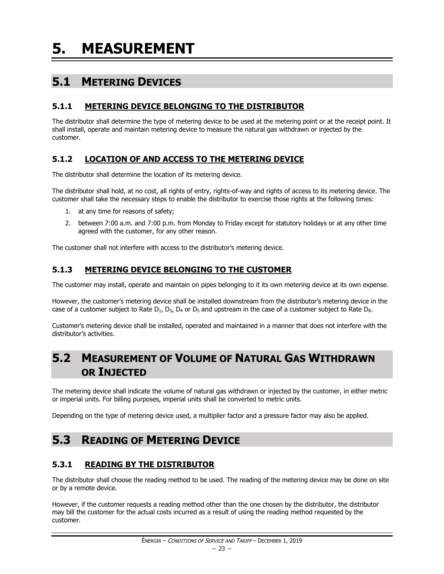<span id="page-24-0"></span>**5. MEASUREMENT**

## <span id="page-24-1"></span>**5.1 METERING DEVICES**

#### <span id="page-24-2"></span>**5.1.1 METERING DEVICE BELONGING TO THE DISTRIBUTOR**

The distributor shall determine the type of metering device to be used at the metering point or at the receipt point. It shall install, operate and maintain metering device to measure the natural gas withdrawn or injected by the customer.

#### <span id="page-24-3"></span>**5.1.2 LOCATION OF AND ACCESS TO THE METERING DEVICE**

The distributor shall determine the location of its metering device.

The distributor shall hold, at no cost, all rights of entry, rights-of-way and rights of access to its metering device. The customer shall take the necessary steps to enable the distributor to exercise those rights at the following times:

- 1. at any time for reasons of safety;
- 2. between 7:00 a.m. and 7:00 p.m. from Monday to Friday except for statutory holidays or at any other time agreed with the customer, for any other reason.

The customer shall not interfere with access to the distributor's metering device.

#### <span id="page-24-4"></span>**5.1.3 METERING DEVICE BELONGING TO THE CUSTOMER**

The customer may install, operate and maintain on pipes belonging to it its own metering device at its own expense.

However, the customer's metering device shall be installed downstream from the distributor's metering device in the case of a customer subject to Rate  $D_1$ ,  $D_3$ ,  $D_4$  or  $D_5$  and upstream in the case of a customer subject to Rate  $D_R$ .

Customer's metering device shall be installed, operated and maintained in a manner that does not interfere with the distributor's activities.

## <span id="page-24-5"></span>**5.2 MEASUREMENT OF VOLUME OF NATURAL GAS WITHDRAWN OR INJECTED**

The metering device shall indicate the volume of natural gas withdrawn or injected by the customer, in either metric or imperial units. For billing purposes, imperial units shall be converted to metric units.

Depending on the type of metering device used, a multiplier factor and a pressure factor may also be applied.

## <span id="page-24-6"></span>**5.3 READING OF METERING DEVICE**

#### <span id="page-24-7"></span>**5.3.1 READING BY THE DISTRIBUTOR**

The distributor shall choose the reading method to be used. The reading of the metering device may be done on site or by a remote device.

However, if the customer requests a reading method other than the one chosen by the distributor, the distributor may bill the customer for the actual costs incurred as a result of using the reading method requested by the customer.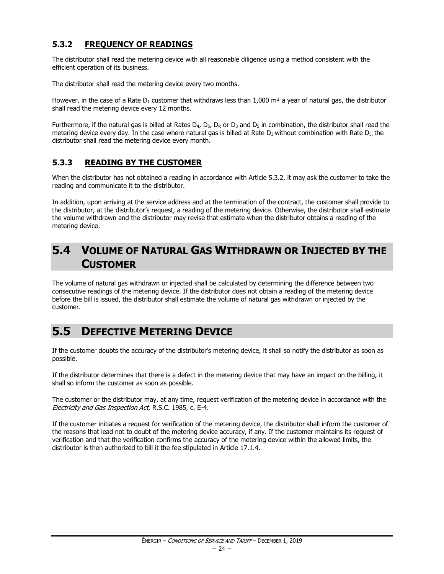#### <span id="page-25-0"></span>**5.3.2 FREQUENCY OF READINGS**

The distributor shall read the metering device with all reasonable diligence using a method consistent with the efficient operation of its business.

The distributor shall read the metering device every two months.

However, in the case of a Rate  $D_1$  customer that withdraws less than 1,000 m<sup>3</sup> a year of natural gas, the distributor shall read the metering device every 12 months.

Furthermore, if the natural gas is billed at Rates  $D_4$ ,  $D_5$ ,  $D_R$  or  $D_3$  and  $D_5$  in combination, the distributor shall read the metering device every day. In the case where natural gas is billed at Rate  $D_3$  without combination with Rate  $D_5$ , the distributor shall read the metering device every month.

#### <span id="page-25-1"></span>**5.3.3 READING BY THE CUSTOMER**

When the distributor has not obtained a reading in accordance with Article 5.3.2, it may ask the customer to take the reading and communicate it to the distributor.

In addition, upon arriving at the service address and at the termination of the contract, the customer shall provide to the distributor, at the distributor's request, a reading of the metering device. Otherwise, the distributor shall estimate the volume withdrawn and the distributor may revise that estimate when the distributor obtains a reading of the metering device.

## <span id="page-25-2"></span>**5.4 VOLUME OF NATURAL GAS WITHDRAWN OR INJECTED BY THE CUSTOMER**

The volume of natural gas withdrawn or injected shall be calculated by determining the difference between two consecutive readings of the metering device. If the distributor does not obtain a reading of the metering device before the bill is issued, the distributor shall estimate the volume of natural gas withdrawn or injected by the customer.

## <span id="page-25-3"></span>**5.5 DEFECTIVE METERING DEVICE**

If the customer doubts the accuracy of the distributor's metering device, it shall so notify the distributor as soon as possible.

If the distributor determines that there is a defect in the metering device that may have an impact on the billing, it shall so inform the customer as soon as possible.

The customer or the distributor may, at any time, request verification of the metering device in accordance with the Electricity and Gas Inspection Act, R.S.C. 1985, c. E-4.

If the customer initiates a request for verification of the metering device, the distributor shall inform the customer of the reasons that lead not to doubt of the metering device accuracy, if any. If the customer maintains its request of verification and that the verification confirms the accuracy of the metering device within the allowed limits, the distributor is then authorized to bill it the fee stipulated in Article 17.1.4.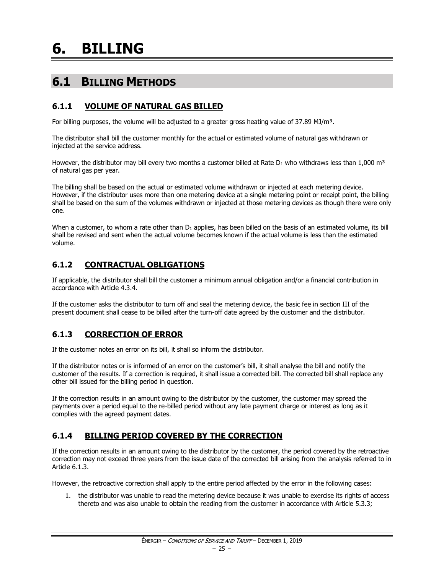## <span id="page-26-0"></span>**6. BILLING**

## <span id="page-26-1"></span>**6.1 BILLING METHODS**

#### <span id="page-26-2"></span>**6.1.1 VOLUME OF NATURAL GAS BILLED**

For billing purposes, the volume will be adjusted to a greater gross heating value of 37.89 MJ/m<sup>3</sup>.

The distributor shall bill the customer monthly for the actual or estimated volume of natural gas withdrawn or injected at the service address.

However, the distributor may bill every two months a customer billed at Rate  $D_1$  who withdraws less than 1,000 m<sup>3</sup> of natural gas per year.

The billing shall be based on the actual or estimated volume withdrawn or injected at each metering device. However, if the distributor uses more than one metering device at a single metering point or receipt point, the billing shall be based on the sum of the volumes withdrawn or injected at those metering devices as though there were only one.

When a customer, to whom a rate other than  $D_1$  applies, has been billed on the basis of an estimated volume, its bill shall be revised and sent when the actual volume becomes known if the actual volume is less than the estimated volume.

#### <span id="page-26-3"></span>**6.1.2 CONTRACTUAL OBLIGATIONS**

If applicable, the distributor shall bill the customer a minimum annual obligation and/or a financial contribution in accordance with Article 4.3.4.

If the customer asks the distributor to turn off and seal the metering device, the basic fee in section III of the present document shall cease to be billed after the turn-off date agreed by the customer and the distributor.

#### <span id="page-26-4"></span>**6.1.3 CORRECTION OF ERROR**

If the customer notes an error on its bill, it shall so inform the distributor.

If the distributor notes or is informed of an error on the customer's bill, it shall analyse the bill and notify the customer of the results. If a correction is required, it shall issue a corrected bill. The corrected bill shall replace any other bill issued for the billing period in question.

If the correction results in an amount owing to the distributor by the customer, the customer may spread the payments over a period equal to the re-billed period without any late payment charge or interest as long as it complies with the agreed payment dates.

#### <span id="page-26-5"></span>**6.1.4 BILLING PERIOD COVERED BY THE CORRECTION**

If the correction results in an amount owing to the distributor by the customer, the period covered by the retroactive correction may not exceed three years from the issue date of the corrected bill arising from the analysis referred to in Article 6.1.3.

However, the retroactive correction shall apply to the entire period affected by the error in the following cases:

1. the distributor was unable to read the metering device because it was unable to exercise its rights of access thereto and was also unable to obtain the reading from the customer in accordance with Article 5.3.3;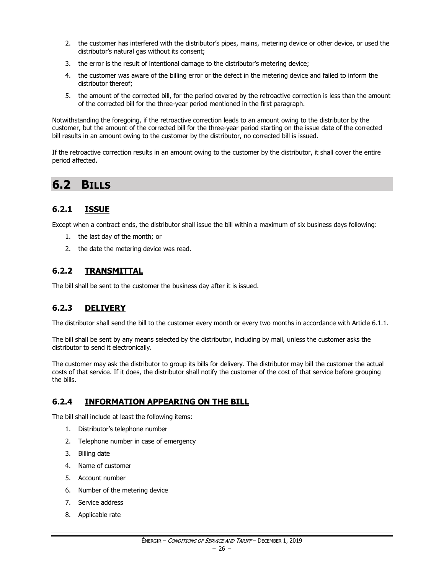- 2. the customer has interfered with the distributor's pipes, mains, metering device or other device, or used the distributor's natural gas without its consent;
- 3. the error is the result of intentional damage to the distributor's metering device;
- 4. the customer was aware of the billing error or the defect in the metering device and failed to inform the distributor thereof;
- 5. the amount of the corrected bill, for the period covered by the retroactive correction is less than the amount of the corrected bill for the three-year period mentioned in the first paragraph.

Notwithstanding the foregoing, if the retroactive correction leads to an amount owing to the distributor by the customer, but the amount of the corrected bill for the three-year period starting on the issue date of the corrected bill results in an amount owing to the customer by the distributor, no corrected bill is issued.

If the retroactive correction results in an amount owing to the customer by the distributor, it shall cover the entire period affected.

### <span id="page-27-0"></span>**6.2 BILLS**

#### <span id="page-27-1"></span>**6.2.1 ISSUE**

Except when a contract ends, the distributor shall issue the bill within a maximum of six business days following:

- 1. the last day of the month; or
- 2. the date the metering device was read.

#### <span id="page-27-2"></span>**6.2.2 TRANSMITTAL**

The bill shall be sent to the customer the business day after it is issued.

#### <span id="page-27-3"></span>**6.2.3 DELIVERY**

The distributor shall send the bill to the customer every month or every two months in accordance with Article 6.1.1.

The bill shall be sent by any means selected by the distributor, including by mail, unless the customer asks the distributor to send it electronically.

The customer may ask the distributor to group its bills for delivery. The distributor may bill the customer the actual costs of that service. If it does, the distributor shall notify the customer of the cost of that service before grouping the bills.

#### <span id="page-27-4"></span>**6.2.4 INFORMATION APPEARING ON THE BILL**

The bill shall include at least the following items:

- 1. Distributor's telephone number
- 2. Telephone number in case of emergency
- 3. Billing date
- 4. Name of customer
- 5. Account number
- 6. Number of the metering device
- 7. Service address
- 8. Applicable rate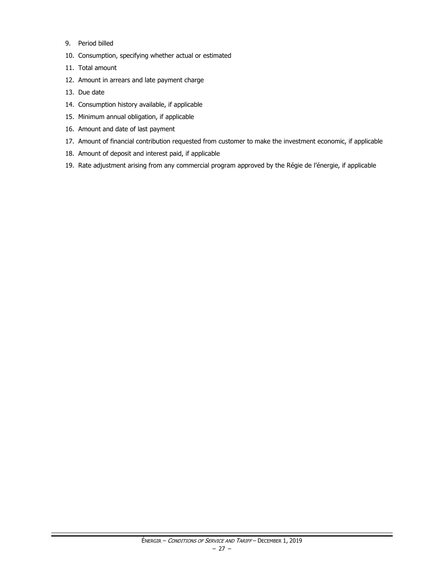- 9. Period billed
- 10. Consumption, specifying whether actual or estimated
- 11. Total amount
- 12. Amount in arrears and late payment charge
- 13. Due date
- 14. Consumption history available, if applicable
- 15. Minimum annual obligation, if applicable
- 16. Amount and date of last payment
- 17. Amount of financial contribution requested from customer to make the investment economic, if applicable
- 18. Amount of deposit and interest paid, if applicable
- 19. Rate adjustment arising from any commercial program approved by the Régie de l'énergie, if applicable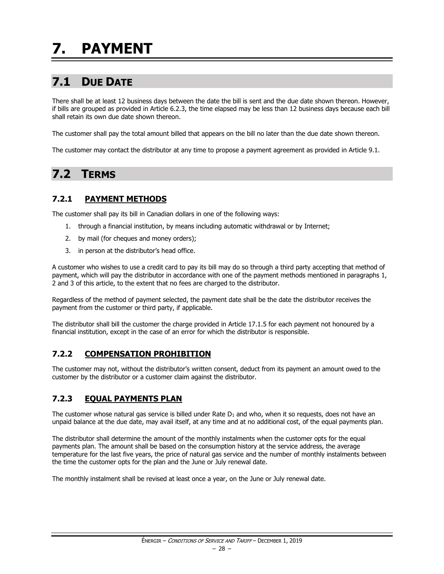## <span id="page-29-1"></span><span id="page-29-0"></span>**7.1 DUE DATE**

There shall be at least 12 business days between the date the bill is sent and the due date shown thereon. However, if bills are grouped as provided in Article 6.2.3, the time elapsed may be less than 12 business days because each bill shall retain its own due date shown thereon.

The customer shall pay the total amount billed that appears on the bill no later than the due date shown thereon.

The customer may contact the distributor at any time to propose a payment agreement as provided in Article 9.1.

## <span id="page-29-2"></span>**7.2 TERMS**

#### <span id="page-29-3"></span>**7.2.1 PAYMENT METHODS**

The customer shall pay its bill in Canadian dollars in one of the following ways:

- 1. through a financial institution, by means including automatic withdrawal or by Internet;
- 2. by mail (for cheques and money orders);
- 3. in person at the distributor's head office.

A customer who wishes to use a credit card to pay its bill may do so through a third party accepting that method of payment, which will pay the distributor in accordance with one of the payment methods mentioned in paragraphs 1, 2 and 3 of this article, to the extent that no fees are charged to the distributor.

Regardless of the method of payment selected, the payment date shall be the date the distributor receives the payment from the customer or third party, if applicable.

The distributor shall bill the customer the charge provided in Article 17.1.5 for each payment not honoured by a financial institution, except in the case of an error for which the distributor is responsible.

#### <span id="page-29-4"></span>**7.2.2 COMPENSATION PROHIBITION**

The customer may not, without the distributor's written consent, deduct from its payment an amount owed to the customer by the distributor or a customer claim against the distributor.

#### <span id="page-29-5"></span>**7.2.3 EQUAL PAYMENTS PLAN**

The customer whose natural gas service is billed under Rate  $D_1$  and who, when it so requests, does not have an unpaid balance at the due date, may avail itself, at any time and at no additional cost, of the equal payments plan.

The distributor shall determine the amount of the monthly instalments when the customer opts for the equal payments plan. The amount shall be based on the consumption history at the service address, the average temperature for the last five years, the price of natural gas service and the number of monthly instalments between the time the customer opts for the plan and the June or July renewal date.

The monthly instalment shall be revised at least once a year, on the June or July renewal date.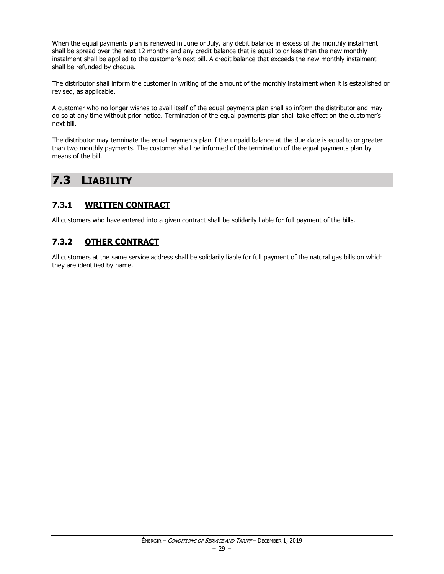When the equal payments plan is renewed in June or July, any debit balance in excess of the monthly instalment shall be spread over the next 12 months and any credit balance that is equal to or less than the new monthly instalment shall be applied to the customer's next bill. A credit balance that exceeds the new monthly instalment shall be refunded by cheque.

The distributor shall inform the customer in writing of the amount of the monthly instalment when it is established or revised, as applicable.

A customer who no longer wishes to avail itself of the equal payments plan shall so inform the distributor and may do so at any time without prior notice. Termination of the equal payments plan shall take effect on the customer's next bill.

The distributor may terminate the equal payments plan if the unpaid balance at the due date is equal to or greater than two monthly payments. The customer shall be informed of the termination of the equal payments plan by means of the bill.

## <span id="page-30-0"></span>**7.3 LIABILITY**

#### <span id="page-30-1"></span>**7.3.1 WRITTEN CONTRACT**

All customers who have entered into a given contract shall be solidarily liable for full payment of the bills.

#### <span id="page-30-2"></span>**7.3.2 OTHER CONTRACT**

All customers at the same service address shall be solidarily liable for full payment of the natural gas bills on which they are identified by name.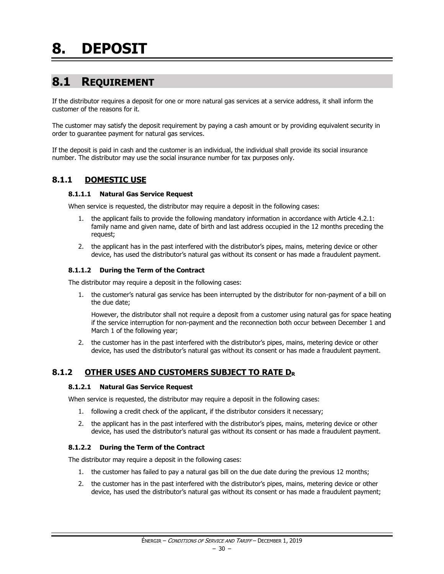## <span id="page-31-1"></span><span id="page-31-0"></span>**8.1 REQUIREMENT**

If the distributor requires a deposit for one or more natural gas services at a service address, it shall inform the customer of the reasons for it.

The customer may satisfy the deposit requirement by paying a cash amount or by providing equivalent security in order to guarantee payment for natural gas services.

If the deposit is paid in cash and the customer is an individual, the individual shall provide its social insurance number. The distributor may use the social insurance number for tax purposes only.

#### <span id="page-31-2"></span>**8.1.1 DOMESTIC USE**

#### **8.1.1.1 Natural Gas Service Request**

When service is requested, the distributor may require a deposit in the following cases:

- 1. the applicant fails to provide the following mandatory information in accordance with Article 4.2.1: family name and given name, date of birth and last address occupied in the 12 months preceding the request;
- 2. the applicant has in the past interfered with the distributor's pipes, mains, metering device or other device, has used the distributor's natural gas without its consent or has made a fraudulent payment.

#### **8.1.1.2 During the Term of the Contract**

The distributor may require a deposit in the following cases:

1. the customer's natural gas service has been interrupted by the distributor for non-payment of a bill on the due date;

However, the distributor shall not require a deposit from a customer using natural gas for space heating if the service interruption for non-payment and the reconnection both occur between December 1 and March 1 of the following year;

2. the customer has in the past interfered with the distributor's pipes, mains, metering device or other device, has used the distributor's natural gas without its consent or has made a fraudulent payment.

#### <span id="page-31-3"></span>**8.1.2 OTHER USES AND CUSTOMERS SUBJECT TO RATE D<sup>R</sup>**

#### **8.1.2.1 Natural Gas Service Request**

When service is requested, the distributor may require a deposit in the following cases:

- 1. following a credit check of the applicant, if the distributor considers it necessary;
- 2. the applicant has in the past interfered with the distributor's pipes, mains, metering device or other device, has used the distributor's natural gas without its consent or has made a fraudulent payment.

#### **8.1.2.2 During the Term of the Contract**

The distributor may require a deposit in the following cases:

- 1. the customer has failed to pay a natural gas bill on the due date during the previous 12 months;
- 2. the customer has in the past interfered with the distributor's pipes, mains, metering device or other device, has used the distributor's natural gas without its consent or has made a fraudulent payment;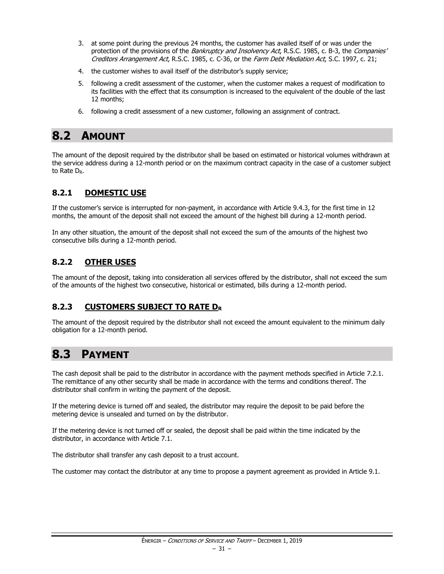- 3. at some point during the previous 24 months, the customer has availed itself of or was under the protection of the provisions of the Bankruptcy and Insolvency Act, R.S.C. 1985, c. B-3, the Companies' Creditors Arrangement Act, R.S.C. 1985, c. C-36, or the Farm Debt Mediation Act, S.C. 1997, c. 21;
- 4. the customer wishes to avail itself of the distributor's supply service;
- 5. following a credit assessment of the customer, when the customer makes a request of modification to its facilities with the effect that its consumption is increased to the equivalent of the double of the last 12 months;
- 6. following a credit assessment of a new customer, following an assignment of contract.

## <span id="page-32-0"></span>**8.2 AMOUNT**

The amount of the deposit required by the distributor shall be based on estimated or historical volumes withdrawn at the service address during a 12-month period or on the maximum contract capacity in the case of a customer subject to Rate D<sub>R</sub>.

#### <span id="page-32-1"></span>**8.2.1 DOMESTIC USE**

If the customer's service is interrupted for non-payment, in accordance with Article 9.4.3, for the first time in 12 months, the amount of the deposit shall not exceed the amount of the highest bill during a 12-month period.

In any other situation, the amount of the deposit shall not exceed the sum of the amounts of the highest two consecutive bills during a 12-month period.

#### <span id="page-32-2"></span>**8.2.2 OTHER USES**

The amount of the deposit, taking into consideration all services offered by the distributor, shall not exceed the sum of the amounts of the highest two consecutive, historical or estimated, bills during a 12-month period.

#### <span id="page-32-3"></span>**8.2.3 CUSTOMERS SUBJECT TO RATE D<sup>R</sup>**

The amount of the deposit required by the distributor shall not exceed the amount equivalent to the minimum daily obligation for a 12-month period.

## <span id="page-32-4"></span>**8.3 PAYMENT**

The cash deposit shall be paid to the distributor in accordance with the payment methods specified in Article 7.2.1. The remittance of any other security shall be made in accordance with the terms and conditions thereof. The distributor shall confirm in writing the payment of the deposit.

If the metering device is turned off and sealed, the distributor may require the deposit to be paid before the metering device is unsealed and turned on by the distributor.

If the metering device is not turned off or sealed, the deposit shall be paid within the time indicated by the distributor, in accordance with Article 7.1.

The distributor shall transfer any cash deposit to a trust account.

The customer may contact the distributor at any time to propose a payment agreement as provided in Article 9.1.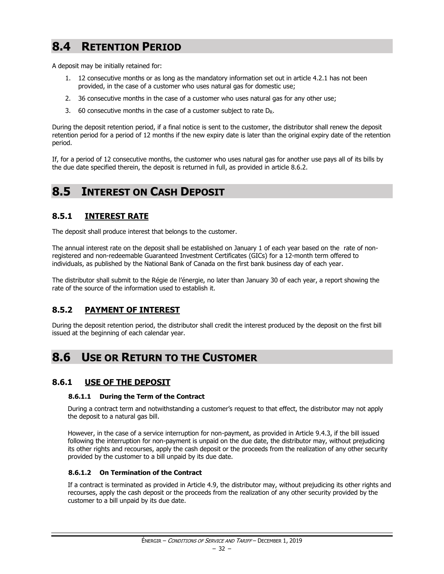## <span id="page-33-0"></span>**8.4 RETENTION PERIOD**

A deposit may be initially retained for:

- 1. 12 consecutive months or as long as the mandatory information set out in article 4.2.1 has not been provided, in the case of a customer who uses natural gas for domestic use;
- 2. 36 consecutive months in the case of a customer who uses natural gas for any other use;
- 3. 60 consecutive months in the case of a customer subject to rate  $D_R$ .

During the deposit retention period, if a final notice is sent to the customer, the distributor shall renew the deposit retention period for a period of 12 months if the new expiry date is later than the original expiry date of the retention period.

If, for a period of 12 consecutive months, the customer who uses natural gas for another use pays all of its bills by the due date specified therein, the deposit is returned in full, as provided in article 8.6.2.

### <span id="page-33-1"></span>**8.5 INTEREST ON CASH DEPOSIT**

#### <span id="page-33-2"></span>**8.5.1 INTEREST RATE**

The deposit shall produce interest that belongs to the customer.

The annual interest rate on the deposit shall be established on January 1 of each year based on the rate of nonregistered and non-redeemable Guaranteed Investment Certificates (GICs) for a 12-month term offered to individuals, as published by the National Bank of Canada on the first bank business day of each year.

The distributor shall submit to the Régie de l'énergie, no later than January 30 of each year, a report showing the rate of the source of the information used to establish it.

#### <span id="page-33-3"></span>**8.5.2 PAYMENT OF INTEREST**

During the deposit retention period, the distributor shall credit the interest produced by the deposit on the first bill issued at the beginning of each calendar year.

### <span id="page-33-4"></span>**8.6 USE OR RETURN TO THE CUSTOMER**

#### <span id="page-33-5"></span>**8.6.1 USE OF THE DEPOSIT**

#### **8.6.1.1 During the Term of the Contract**

During a contract term and notwithstanding a customer's request to that effect, the distributor may not apply the deposit to a natural gas bill.

However, in the case of a service interruption for non-payment, as provided in Article 9.4.3, if the bill issued following the interruption for non-payment is unpaid on the due date, the distributor may, without prejudicing its other rights and recourses, apply the cash deposit or the proceeds from the realization of any other security provided by the customer to a bill unpaid by its due date.

#### **8.6.1.2 On Termination of the Contract**

If a contract is terminated as provided in Article 4.9, the distributor may, without prejudicing its other rights and recourses, apply the cash deposit or the proceeds from the realization of any other security provided by the customer to a bill unpaid by its due date.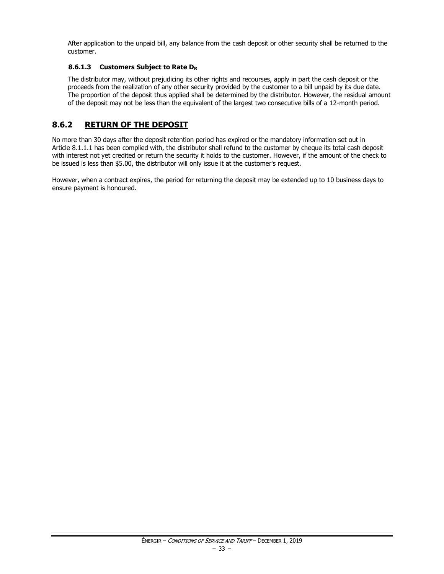After application to the unpaid bill, any balance from the cash deposit or other security shall be returned to the customer.

#### **8.6.1.3 Customers Subject to Rate D<sup>R</sup>**

The distributor may, without prejudicing its other rights and recourses, apply in part the cash deposit or the proceeds from the realization of any other security provided by the customer to a bill unpaid by its due date. The proportion of the deposit thus applied shall be determined by the distributor. However, the residual amount of the deposit may not be less than the equivalent of the largest two consecutive bills of a 12-month period.

#### <span id="page-34-0"></span>**8.6.2 RETURN OF THE DEPOSIT**

No more than 30 days after the deposit retention period has expired or the mandatory information set out in Article 8.1.1.1 has been complied with, the distributor shall refund to the customer by cheque its total cash deposit with interest not yet credited or return the security it holds to the customer. However, if the amount of the check to be issued is less than \$5.00, the distributor will only issue it at the customer's request.

However, when a contract expires, the period for returning the deposit may be extended up to 10 business days to ensure payment is honoured.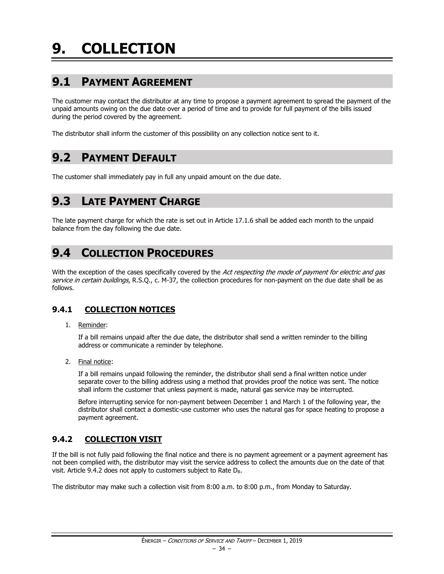## <span id="page-35-1"></span><span id="page-35-0"></span>**9.1 PAYMENT AGREEMENT**

The customer may contact the distributor at any time to propose a payment agreement to spread the payment of the unpaid amounts owing on the due date over a period of time and to provide for full payment of the bills issued during the period covered by the agreement.

The distributor shall inform the customer of this possibility on any collection notice sent to it.

### <span id="page-35-2"></span>**9.2 PAYMENT DEFAULT**

The customer shall immediately pay in full any unpaid amount on the due date.

## <span id="page-35-3"></span>**9.3 LATE PAYMENT CHARGE**

The late payment charge for which the rate is set out in Article 17.1.6 shall be added each month to the unpaid balance from the day following the due date.

### <span id="page-35-4"></span>**9.4 COLLECTION PROCEDURES**

With the exception of the cases specifically covered by the Act respecting the mode of payment for electric and gas service in certain buildings, R.S.Q., c. M-37, the collection procedures for non-payment on the due date shall be as follows.

#### <span id="page-35-5"></span>**9.4.1 COLLECTION NOTICES**

1. Reminder:

If a bill remains unpaid after the due date, the distributor shall send a written reminder to the billing address or communicate a reminder by telephone.

2. Final notice:

If a bill remains unpaid following the reminder, the distributor shall send a final written notice under separate cover to the billing address using a method that provides proof the notice was sent. The notice shall inform the customer that unless payment is made, natural gas service may be interrupted.

Before interrupting service for non-payment between December 1 and March 1 of the following year, the distributor shall contact a domestic-use customer who uses the natural gas for space heating to propose a payment agreement.

#### <span id="page-35-6"></span>**9.4.2 COLLECTION VISIT**

If the bill is not fully paid following the final notice and there is no payment agreement or a payment agreement has not been complied with, the distributor may visit the service address to collect the amounts due on the date of that visit. Article 9.4.2 does not apply to customers subject to Rate DR.

The distributor may make such a collection visit from 8:00 a.m. to 8:00 p.m., from Monday to Saturday.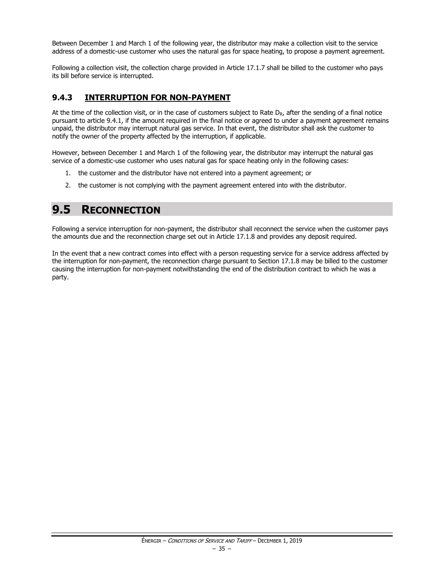Between December 1 and March 1 of the following year, the distributor may make a collection visit to the service address of a domestic-use customer who uses the natural gas for space heating, to propose a payment agreement.

Following a collection visit, the collection charge provided in Article 17.1.7 shall be billed to the customer who pays its bill before service is interrupted.

# **9.4.3 INTERRUPTION FOR NON-PAYMENT**

At the time of the collection visit, or in the case of customers subject to Rate  $D_R$ , after the sending of a final notice pursuant to article 9.4.1, if the amount required in the final notice or agreed to under a payment agreement remains unpaid, the distributor may interrupt natural gas service. In that event, the distributor shall ask the customer to notify the owner of the property affected by the interruption, if applicable.

However, between December 1 and March 1 of the following year, the distributor may interrupt the natural gas service of a domestic-use customer who uses natural gas for space heating only in the following cases:

- 1. the customer and the distributor have not entered into a payment agreement; or
- 2. the customer is not complying with the payment agreement entered into with the distributor.

# **9.5 RECONNECTION**

Following a service interruption for non-payment, the distributor shall reconnect the service when the customer pays the amounts due and the reconnection charge set out in Article 17.1.8 and provides any deposit required.

In the event that a new contract comes into effect with a person requesting service for a service address affected by the interruption for non-payment, the reconnection charge pursuant to Section 17.1.8 may be billed to the customer causing the interruption for non-payment notwithstanding the end of the distribution contract to which he was a party.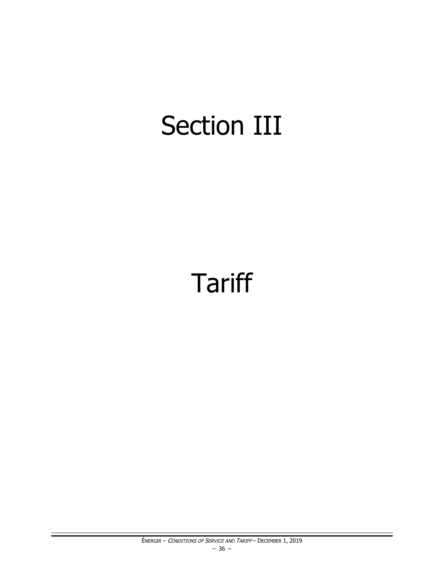# Section III

# **Tariff**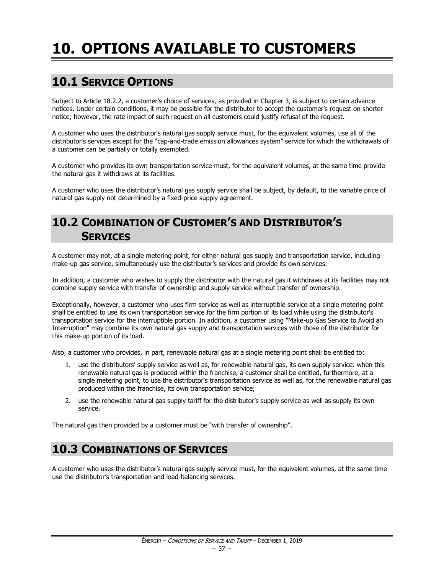# **10. OPTIONS AVAILABLE TO CUSTOMERS**

# **10.1 SERVICE OPTIONS**

Subject to Article 18.2.2, a customer's choice of services, as provided in Chapter 3, is subject to certain advance notices. Under certain conditions, it may be possible for the distributor to accept the customer's request on shorter notice; however, the rate impact of such request on all customers could justify refusal of the request.

A customer who uses the distributor's natural gas supply service must, for the equivalent volumes, use all of the distributor's services except for the "cap-and-trade emission allowances system" service for which the withdrawals of a customer can be partially or totally exempted.

A customer who provides its own transportation service must, for the equivalent volumes, at the same time provide the natural gas it withdraws at its facilities.

A customer who uses the distributor's natural gas supply service shall be subject, by default, to the variable price of natural gas supply not determined by a fixed-price supply agreement.

# **10.2 COMBINATION OF CUSTOMER'S AND DISTRIBUTOR'S SERVICES**

A customer may not, at a single metering point, for either natural gas supply and transportation service, including make-up gas service, simultaneously use the distributor's services and provide its own services.

In addition, a customer who wishes to supply the distributor with the natural gas it withdraws at its facilities may not combine supply service with transfer of ownership and supply service without transfer of ownership.

Exceptionally, however, a customer who uses firm service as well as interruptible service at a single metering point shall be entitled to use its own transportation service for the firm portion of its load while using the distributor's transportation service for the interruptible portion. In addition, a customer using "Make-up Gas Service to Avoid an Interruption" may combine its own natural gas supply and transportation services with those of the distributor for this make-up portion of its load.

Also, a customer who provides, in part, renewable natural gas at a single metering point shall be entitled to:

- 1. use the distributors' supply service as well as, for renewable natural gas, its own supply service: when this renewable natural gas is produced within the franchise, a customer shall be entitled, furthermore, at a single metering point, to use the distributor's transportation service as well as, for the renewable natural gas produced within the franchise, its own transportation service;
- 2. use the renewable natural gas supply tariff for the distributor's supply service as well as supply its own service.

The natural gas then provided by a customer must be "with transfer of ownership".

# **10.3 COMBINATIONS OF SERVICES**

A customer who uses the distributor's natural gas supply service must, for the equivalent volumes, at the same time use the distributor's transportation and load-balancing services.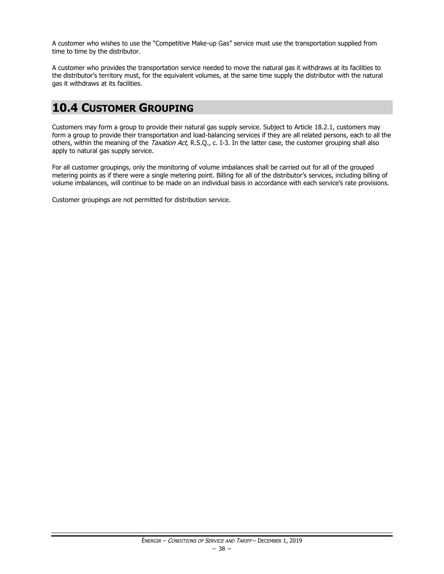A customer who wishes to use the "Competitive Make-up Gas" service must use the transportation supplied from time to time by the distributor.

A customer who provides the transportation service needed to move the natural gas it withdraws at its facilities to the distributor's territory must, for the equivalent volumes, at the same time supply the distributor with the natural gas it withdraws at its facilities.

# **10.4 CUSTOMER GROUPING**

Customers may form a group to provide their natural gas supply service. Subject to Article 18.2.1, customers may form a group to provide their transportation and load-balancing services if they are all related persons, each to all the others, within the meaning of the Taxation Act, R.S.Q., c. I-3. In the latter case, the customer grouping shall also apply to natural gas supply service.

For all customer groupings, only the monitoring of volume imbalances shall be carried out for all of the grouped metering points as if there were a single metering point. Billing for all of the distributor's services, including billing of volume imbalances, will continue to be made on an individual basis in accordance with each service's rate provisions.

Customer groupings are not permitted for distribution service.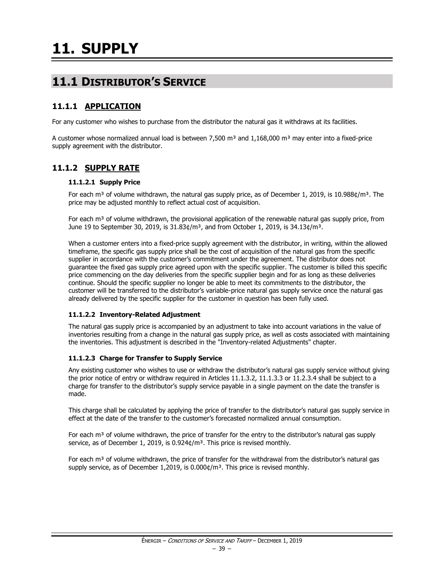# **11.1 DISTRIBUTOR'S SERVICE**

# **11.1.1 APPLICATION**

For any customer who wishes to purchase from the distributor the natural gas it withdraws at its facilities.

A customer whose normalized annual load is between 7,500  $m<sup>3</sup>$  and 1,168,000  $m<sup>3</sup>$  may enter into a fixed-price supply agreement with the distributor.

# **11.1.2 SUPPLY RATE**

### **11.1.2.1 Supply Price**

For each m<sup>3</sup> of volume withdrawn, the natural gas supply price, as of December 1, 2019, is 10.988 $\phi/m^3$ . The price may be adjusted monthly to reflect actual cost of acquisition.

For each m<sup>3</sup> of volume withdrawn, the provisional application of the renewable natural gas supply price, from June 19 to September 30, 2019, is  $31.83¢/m<sup>3</sup>$ , and from October 1, 2019, is  $34.13¢/m<sup>3</sup>$ .

When a customer enters into a fixed-price supply agreement with the distributor, in writing, within the allowed timeframe, the specific gas supply price shall be the cost of acquisition of the natural gas from the specific supplier in accordance with the customer's commitment under the agreement. The distributor does not guarantee the fixed gas supply price agreed upon with the specific supplier. The customer is billed this specific price commencing on the day deliveries from the specific supplier begin and for as long as these deliveries continue. Should the specific supplier no longer be able to meet its commitments to the distributor, the customer will be transferred to the distributor's variable-price natural gas supply service once the natural gas already delivered by the specific supplier for the customer in question has been fully used.

# **11.1.2.2 Inventory-Related Adjustment**

The natural gas supply price is accompanied by an adjustment to take into account variations in the value of inventories resulting from a change in the natural gas supply price, as well as costs associated with maintaining the inventories. This adjustment is described in the "Inventory-related Adjustments" chapter.

#### **11.1.2.3 Charge for Transfer to Supply Service**

Any existing customer who wishes to use or withdraw the distributor's natural gas supply service without giving the prior notice of entry or withdraw required in Articles 11.1.3.2, 11.1.3.3 or 11.2.3.4 shall be subject to a charge for transfer to the distributor's supply service payable in a single payment on the date the transfer is made.

This charge shall be calculated by applying the price of transfer to the distributor's natural gas supply service in effect at the date of the transfer to the customer's forecasted normalized annual consumption.

For each  $m<sup>3</sup>$  of volume withdrawn, the price of transfer for the entry to the distributor's natural gas supply service, as of December 1, 2019, is 0.924¢/m<sup>3</sup>. This price is revised monthly.

For each  $m<sup>3</sup>$  of volume withdrawn, the price of transfer for the withdrawal from the distributor's natural gas supply service, as of December 1,2019, is  $0.000 \frac{\varepsilon}{m^3}$ . This price is revised monthly.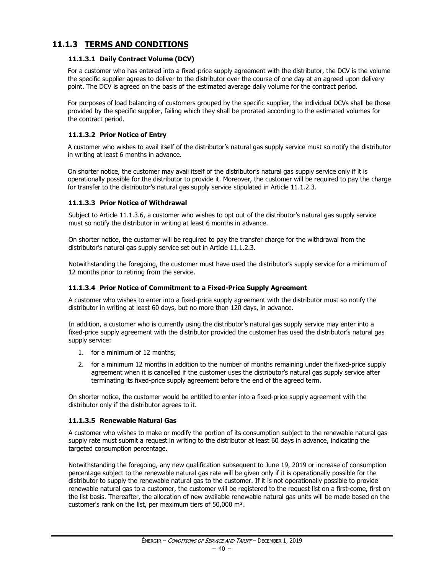# **11.1.3 TERMS AND CONDITIONS**

### **11.1.3.1 Daily Contract Volume (DCV)**

For a customer who has entered into a fixed-price supply agreement with the distributor, the DCV is the volume the specific supplier agrees to deliver to the distributor over the course of one day at an agreed upon delivery point. The DCV is agreed on the basis of the estimated average daily volume for the contract period.

For purposes of load balancing of customers grouped by the specific supplier, the individual DCVs shall be those provided by the specific supplier, failing which they shall be prorated according to the estimated volumes for the contract period.

### **11.1.3.2 Prior Notice of Entry**

A customer who wishes to avail itself of the distributor's natural gas supply service must so notify the distributor in writing at least 6 months in advance.

On shorter notice, the customer may avail itself of the distributor's natural gas supply service only if it is operationally possible for the distributor to provide it. Moreover, the customer will be required to pay the charge for transfer to the distributor's natural gas supply service stipulated in Article 11.1.2.3.

### **11.1.3.3 Prior Notice of Withdrawal**

Subject to Article 11.1.3.6, a customer who wishes to opt out of the distributor's natural gas supply service must so notify the distributor in writing at least 6 months in advance.

On shorter notice, the customer will be required to pay the transfer charge for the withdrawal from the distributor's natural gas supply service set out in Article 11.1.2.3.

Notwithstanding the foregoing, the customer must have used the distributor's supply service for a minimum of 12 months prior to retiring from the service.

#### **11.1.3.4 Prior Notice of Commitment to a Fixed-Price Supply Agreement**

A customer who wishes to enter into a fixed-price supply agreement with the distributor must so notify the distributor in writing at least 60 days, but no more than 120 days, in advance.

In addition, a customer who is currently using the distributor's natural gas supply service may enter into a fixed-price supply agreement with the distributor provided the customer has used the distributor's natural gas supply service:

- 1. for a minimum of 12 months;
- 2. for a minimum 12 months in addition to the number of months remaining under the fixed-price supply agreement when it is cancelled if the customer uses the distributor's natural gas supply service after terminating its fixed-price supply agreement before the end of the agreed term.

On shorter notice, the customer would be entitled to enter into a fixed-price supply agreement with the distributor only if the distributor agrees to it.

#### **11.1.3.5 Renewable Natural Gas**

A customer who wishes to make or modify the portion of its consumption subject to the renewable natural gas supply rate must submit a request in writing to the distributor at least 60 days in advance, indicating the targeted consumption percentage.

Notwithstanding the foregoing, any new qualification subsequent to June 19, 2019 or increase of consumption percentage subject to the renewable natural gas rate will be given only if it is operationally possible for the distributor to supply the renewable natural gas to the customer. If it is not operationally possible to provide renewable natural gas to a customer, the customer will be registered to the request list on a first-come, first on the list basis. Thereafter, the allocation of new available renewable natural gas units will be made based on the customer's rank on the list, per maximum tiers of 50,000 m<sup>3</sup>.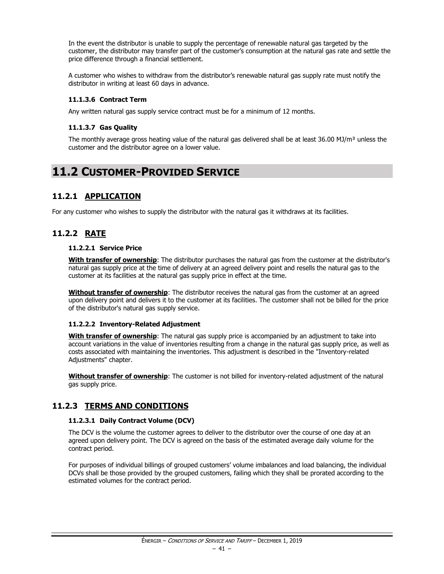In the event the distributor is unable to supply the percentage of renewable natural gas targeted by the customer, the distributor may transfer part of the customer's consumption at the natural gas rate and settle the price difference through a financial settlement.

A customer who wishes to withdraw from the distributor's renewable natural gas supply rate must notify the distributor in writing at least 60 days in advance.

### **11.1.3.6 Contract Term**

Any written natural gas supply service contract must be for a minimum of 12 months.

#### **11.1.3.7 Gas Quality**

The monthly average gross heating value of the natural gas delivered shall be at least 36.00 MJ/m<sup>3</sup> unless the customer and the distributor agree on a lower value.

# **11.2 CUSTOMER-PROVIDED SERVICE**

# **11.2.1 APPLICATION**

For any customer who wishes to supply the distributor with the natural gas it withdraws at its facilities.

# **11.2.2 RATE**

#### **11.2.2.1 Service Price**

**With transfer of ownership**: The distributor purchases the natural gas from the customer at the distributor's natural gas supply price at the time of delivery at an agreed delivery point and resells the natural gas to the customer at its facilities at the natural gas supply price in effect at the time.

**Without transfer of ownership**: The distributor receives the natural gas from the customer at an agreed upon delivery point and delivers it to the customer at its facilities. The customer shall not be billed for the price of the distributor's natural gas supply service.

#### **11.2.2.2 Inventory-Related Adjustment**

**With transfer of ownership**: The natural gas supply price is accompanied by an adjustment to take into account variations in the value of inventories resulting from a change in the natural gas supply price, as well as costs associated with maintaining the inventories. This adjustment is described in the "Inventory-related Adjustments" chapter.

**Without transfer of ownership**: The customer is not billed for inventory-related adjustment of the natural gas supply price.

# **11.2.3 TERMS AND CONDITIONS**

#### **11.2.3.1 Daily Contract Volume (DCV)**

The DCV is the volume the customer agrees to deliver to the distributor over the course of one day at an agreed upon delivery point. The DCV is agreed on the basis of the estimated average daily volume for the contract period.

For purposes of individual billings of grouped customers' volume imbalances and load balancing, the individual DCVs shall be those provided by the grouped customers, failing which they shall be prorated according to the estimated volumes for the contract period.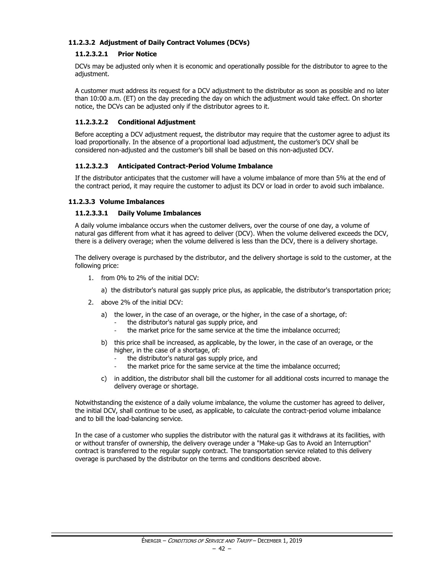### **11.2.3.2 Adjustment of Daily Contract Volumes (DCVs)**

### **11.2.3.2.1 Prior Notice**

DCVs may be adjusted only when it is economic and operationally possible for the distributor to agree to the adjustment.

A customer must address its request for a DCV adjustment to the distributor as soon as possible and no later than 10:00 a.m. (ET) on the day preceding the day on which the adjustment would take effect. On shorter notice, the DCVs can be adjusted only if the distributor agrees to it.

### **11.2.3.2.2 Conditional Adjustment**

Before accepting a DCV adjustment request, the distributor may require that the customer agree to adjust its load proportionally. In the absence of a proportional load adjustment, the customer's DCV shall be considered non-adjusted and the customer's bill shall be based on this non-adjusted DCV.

#### **11.2.3.2.3 Anticipated Contract-Period Volume Imbalance**

If the distributor anticipates that the customer will have a volume imbalance of more than 5% at the end of the contract period, it may require the customer to adjust its DCV or load in order to avoid such imbalance.

#### **11.2.3.3 Volume Imbalances**

#### **11.2.3.3.1 Daily Volume Imbalances**

A daily volume imbalance occurs when the customer delivers, over the course of one day, a volume of natural gas different from what it has agreed to deliver (DCV). When the volume delivered exceeds the DCV, there is a delivery overage; when the volume delivered is less than the DCV, there is a delivery shortage.

The delivery overage is purchased by the distributor, and the delivery shortage is sold to the customer, at the following price:

- 1. from 0% to 2% of the initial DCV:
	- a) the distributor's natural gas supply price plus, as applicable, the distributor's transportation price;
- 2. above 2% of the initial DCV:
	- a) the lower, in the case of an overage, or the higher, in the case of a shortage, of:
		- the distributor's natural gas supply price, and
		- the market price for the same service at the time the imbalance occurred;
	- b) this price shall be increased, as applicable, by the lower, in the case of an overage, or the higher, in the case of a shortage, of:
		- the distributor's natural gas supply price, and
		- the market price for the same service at the time the imbalance occurred;
	- c) in addition, the distributor shall bill the customer for all additional costs incurred to manage the delivery overage or shortage.

Notwithstanding the existence of a daily volume imbalance, the volume the customer has agreed to deliver, the initial DCV, shall continue to be used, as applicable, to calculate the contract-period volume imbalance and to bill the load-balancing service.

In the case of a customer who supplies the distributor with the natural gas it withdraws at its facilities, with or without transfer of ownership, the delivery overage under a "Make-up Gas to Avoid an Interruption" contract is transferred to the regular supply contract. The transportation service related to this delivery overage is purchased by the distributor on the terms and conditions described above.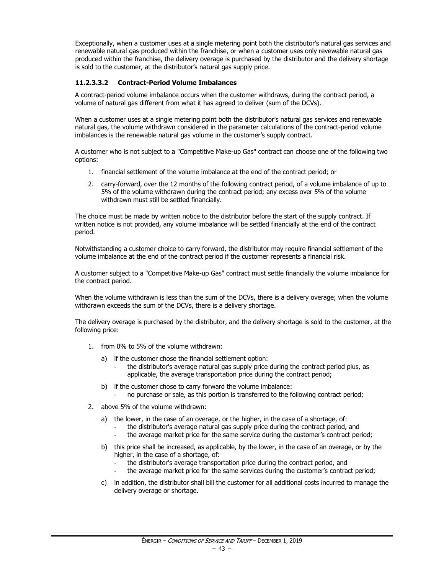Exceptionally, when a customer uses at a single metering point both the distributor's natural gas services and renewable natural gas produced within the franchise, or when a customer uses only revewable natural gas produced within the franchise, the delivery overage is purchased by the distributor and the delivery shortage is sold to the customer, at the distributor's natural gas supply price.

### **11.2.3.3.2 Contract-Period Volume Imbalances**

A contract-period volume imbalance occurs when the customer withdraws, during the contract period, a volume of natural gas different from what it has agreed to deliver (sum of the DCVs).

When a customer uses at a single metering point both the distributor's natural gas services and renewable natural gas, the volume withdrawn considered in the parameter calculations of the contract-period volume imbalances is the renewable natural gas volume in the customer's supply contract.

A customer who is not subject to a "Competitive Make-up Gas" contract can choose one of the following two options:

- 1. financial settlement of the volume imbalance at the end of the contract period; or
- 2. carry-forward, over the 12 months of the following contract period, of a volume imbalance of up to 5% of the volume withdrawn during the contract period; any excess over 5% of the volume withdrawn must still be settled financially.

The choice must be made by written notice to the distributor before the start of the supply contract. If written notice is not provided, any volume imbalance will be settled financially at the end of the contract period.

Notwithstanding a customer choice to carry forward, the distributor may require financial settlement of the volume imbalance at the end of the contract period if the customer represents a financial risk.

A customer subject to a "Competitive Make-up Gas" contract must settle financially the volume imbalance for the contract period.

When the volume withdrawn is less than the sum of the DCVs, there is a delivery overage; when the volume withdrawn exceeds the sum of the DCVs, there is a delivery shortage.

The delivery overage is purchased by the distributor, and the delivery shortage is sold to the customer, at the following price:

- 1. from 0% to 5% of the volume withdrawn:
	- a) if the customer chose the financial settlement option:
		- the distributor's average natural gas supply price during the contract period plus, as applicable, the average transportation price during the contract period;
	- b) if the customer chose to carry forward the volume imbalance:
		- no purchase or sale, as this portion is transferred to the following contract period;
- 2. above 5% of the volume withdrawn:
	- a) the lower, in the case of an overage, or the higher, in the case of a shortage, of:
		- the distributor's average natural gas supply price during the contract period, and
		- the average market price for the same service during the customer's contract period;
	- b) this price shall be increased, as applicable, by the lower, in the case of an overage, or by the higher, in the case of a shortage, of:
		- the distributor's average transportation price during the contract period, and
		- the average market price for the same services during the customer's contract period;
	- c) in addition, the distributor shall bill the customer for all additional costs incurred to manage the delivery overage or shortage.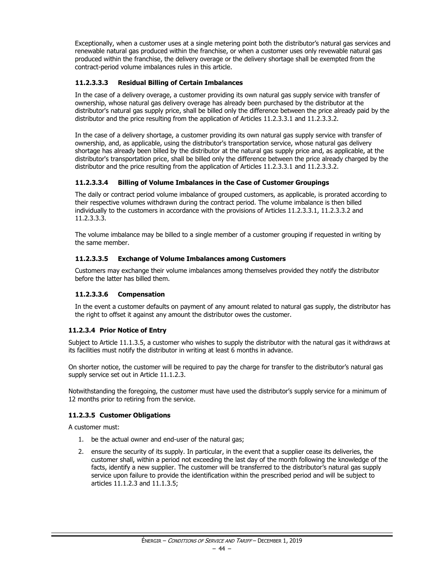Exceptionally, when a customer uses at a single metering point both the distributor's natural gas services and renewable natural gas produced within the franchise, or when a customer uses only revewable natural gas produced within the franchise, the delivery overage or the delivery shortage shall be exempted from the contract-period volume imbalances rules in this article.

# **11.2.3.3.3 Residual Billing of Certain Imbalances**

In the case of a delivery overage, a customer providing its own natural gas supply service with transfer of ownership, whose natural gas delivery overage has already been purchased by the distributor at the distributor's natural gas supply price, shall be billed only the difference between the price already paid by the distributor and the price resulting from the application of Articles 11.2.3.3.1 and 11.2.3.3.2.

In the case of a delivery shortage, a customer providing its own natural gas supply service with transfer of ownership, and, as applicable, using the distributor's transportation service, whose natural gas delivery shortage has already been billed by the distributor at the natural gas supply price and, as applicable, at the distributor's transportation price, shall be billed only the difference between the price already charged by the distributor and the price resulting from the application of Articles 11.2.3.3.1 and 11.2.3.3.2.

# **11.2.3.3.4 Billing of Volume Imbalances in the Case of Customer Groupings**

The daily or contract period volume imbalance of grouped customers, as applicable, is prorated according to their respective volumes withdrawn during the contract period. The volume imbalance is then billed individually to the customers in accordance with the provisions of Articles 11.2.3.3.1, 11.2.3.3.2 and 11.2.3.3.3.

The volume imbalance may be billed to a single member of a customer grouping if requested in writing by the same member.

# **11.2.3.3.5 Exchange of Volume Imbalances among Customers**

Customers may exchange their volume imbalances among themselves provided they notify the distributor before the latter has billed them.

# **11.2.3.3.6 Compensation**

In the event a customer defaults on payment of any amount related to natural gas supply, the distributor has the right to offset it against any amount the distributor owes the customer.

# **11.2.3.4 Prior Notice of Entry**

Subject to Article 11.1.3.5, a customer who wishes to supply the distributor with the natural gas it withdraws at its facilities must notify the distributor in writing at least 6 months in advance.

On shorter notice, the customer will be required to pay the charge for transfer to the distributor's natural gas supply service set out in Article 11.1.2.3.

Notwithstanding the foregoing, the customer must have used the distributor's supply service for a minimum of 12 months prior to retiring from the service.

# **11.2.3.5 Customer Obligations**

A customer must:

- 1. be the actual owner and end-user of the natural gas;
- 2. ensure the security of its supply. In particular, in the event that a supplier cease its deliveries, the customer shall, within a period not exceeding the last day of the month following the knowledge of the facts, identify a new supplier. The customer will be transferred to the distributor's natural gas supply service upon failure to provide the identification within the prescribed period and will be subject to articles 11.1.2.3 and 11.1.3.5;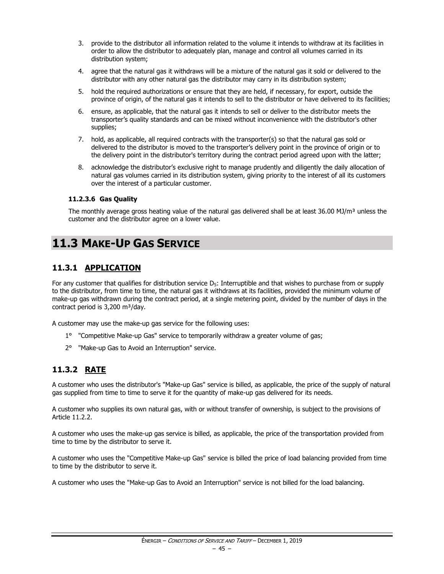- 3. provide to the distributor all information related to the volume it intends to withdraw at its facilities in order to allow the distributor to adequately plan, manage and control all volumes carried in its distribution system;
- 4. agree that the natural gas it withdraws will be a mixture of the natural gas it sold or delivered to the distributor with any other natural gas the distributor may carry in its distribution system;
- 5. hold the required authorizations or ensure that they are held, if necessary, for export, outside the province of origin, of the natural gas it intends to sell to the distributor or have delivered to its facilities;
- 6. ensure, as applicable, that the natural gas it intends to sell or deliver to the distributor meets the transporter's quality standards and can be mixed without inconvenience with the distributor's other supplies;
- 7. hold, as applicable, all required contracts with the transporter(s) so that the natural gas sold or delivered to the distributor is moved to the transporter's delivery point in the province of origin or to the delivery point in the distributor's territory during the contract period agreed upon with the latter;
- 8. acknowledge the distributor's exclusive right to manage prudently and diligently the daily allocation of natural gas volumes carried in its distribution system, giving priority to the interest of all its customers over the interest of a particular customer.

### **11.2.3.6 Gas Quality**

The monthly average gross heating value of the natural gas delivered shall be at least  $36.00$  MJ/m<sup>3</sup> unless the customer and the distributor agree on a lower value.

# **11.3 MAKE-UP GAS SERVICE**

# **11.3.1 APPLICATION**

For any customer that qualifies for distribution service  $D<sub>5</sub>$ : Interruptible and that wishes to purchase from or supply to the distributor, from time to time, the natural gas it withdraws at its facilities, provided the minimum volume of make-up gas withdrawn during the contract period, at a single metering point, divided by the number of days in the contract period is  $3,200 \text{ m}^3/\text{day}$ .

A customer may use the make-up gas service for the following uses:

- 1° "Competitive Make-up Gas" service to temporarily withdraw a greater volume of gas;
- 2° "Make-up Gas to Avoid an Interruption" service.

# **11.3.2 RATE**

A customer who uses the distributor's "Make-up Gas" service is billed, as applicable, the price of the supply of natural gas supplied from time to time to serve it for the quantity of make-up gas delivered for its needs.

A customer who supplies its own natural gas, with or without transfer of ownership, is subject to the provisions of Article 11.2.2.

A customer who uses the make-up gas service is billed, as applicable, the price of the transportation provided from time to time by the distributor to serve it.

A customer who uses the "Competitive Make-up Gas" service is billed the price of load balancing provided from time to time by the distributor to serve it.

A customer who uses the "Make-up Gas to Avoid an Interruption" service is not billed for the load balancing.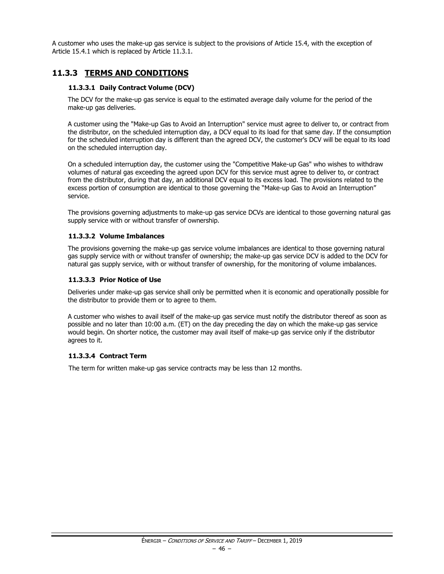A customer who uses the make-up gas service is subject to the provisions of Article 15.4, with the exception of Article 15.4.1 which is replaced by Article 11.3.1.

# **11.3.3 TERMS AND CONDITIONS**

### **11.3.3.1 Daily Contract Volume (DCV)**

The DCV for the make-up gas service is equal to the estimated average daily volume for the period of the make-up gas deliveries.

A customer using the "Make-up Gas to Avoid an Interruption" service must agree to deliver to, or contract from the distributor, on the scheduled interruption day, a DCV equal to its load for that same day. If the consumption for the scheduled interruption day is different than the agreed DCV, the customer's DCV will be equal to its load on the scheduled interruption day.

On a scheduled interruption day, the customer using the "Competitive Make-up Gas" who wishes to withdraw volumes of natural gas exceeding the agreed upon DCV for this service must agree to deliver to, or contract from the distributor, during that day, an additional DCV equal to its excess load. The provisions related to the excess portion of consumption are identical to those governing the "Make-up Gas to Avoid an Interruption" service.

The provisions governing adjustments to make-up gas service DCVs are identical to those governing natural gas supply service with or without transfer of ownership.

#### **11.3.3.2 Volume Imbalances**

The provisions governing the make-up gas service volume imbalances are identical to those governing natural gas supply service with or without transfer of ownership; the make-up gas service DCV is added to the DCV for natural gas supply service, with or without transfer of ownership, for the monitoring of volume imbalances.

#### **11.3.3.3 Prior Notice of Use**

Deliveries under make-up gas service shall only be permitted when it is economic and operationally possible for the distributor to provide them or to agree to them.

A customer who wishes to avail itself of the make-up gas service must notify the distributor thereof as soon as possible and no later than 10:00 a.m. (ET) on the day preceding the day on which the make-up gas service would begin. On shorter notice, the customer may avail itself of make-up gas service only if the distributor agrees to it.

#### **11.3.3.4 Contract Term**

The term for written make-up gas service contracts may be less than 12 months.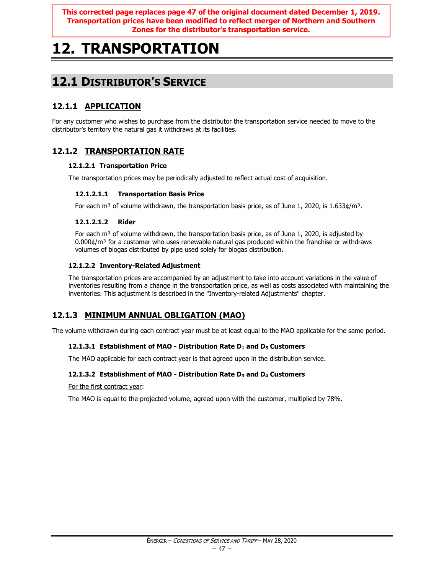**This corrected page replaces page 47 of the original document dated December 1, 2019. Transportation prices have been modified to reflect merger of Northern and Southern Zones for the distributor's transportation service.**

# **12. TRANSPORTATION**

# **12.1 DISTRIBUTOR'S SERVICE**

# **12.1.1 APPLICATION**

For any customer who wishes to purchase from the distributor the transportation service needed to move to the distributor's territory the natural gas it withdraws at its facilities.

# **12.1.2 TRANSPORTATION RATE**

# **12.1.2.1 Transportation Price**

The transportation prices may be periodically adjusted to reflect actual cost of acquisition.

# **12.1.2.1.1 Transportation Basis Price**

For each m<sup>3</sup> of volume withdrawn, the transportation basis price, as of June 1, 2020, is 1.633¢/m<sup>3</sup>.

### **12.1.2.1.2 Rider**

For each  $m<sup>3</sup>$  of volume withdrawn, the transportation basis price, as of June 1, 2020, is adjusted by  $0.000\psi/m^3$  for a customer who uses renewable natural gas produced within the franchise or withdraws volumes of biogas distributed by pipe used solely for biogas distribution.

### **12.1.2.2 Inventory-Related Adjustment**

The transportation prices are accompanied by an adjustment to take into account variations in the value of inventories resulting from a change in the transportation price, as well as costs associated with maintaining the inventories. This adjustment is described in the "Inventory-related Adjustments" chapter.

# **12.1.3 MINIMUM ANNUAL OBLIGATION (MAO)**

The volume withdrawn during each contract year must be at least equal to the MAO applicable for the same period.

# **12.1.3.1 Establishment of MAO - Distribution Rate D<sup>1</sup> and D<sup>5</sup> Customers**

The MAO applicable for each contract year is that agreed upon in the distribution service.

# **12.1.3.2 Establishment of MAO - Distribution Rate D<sup>3</sup> and D<sup>4</sup> Customers**

For the first contract year:

The MAO is equal to the projected volume, agreed upon with the customer, multiplied by 78%.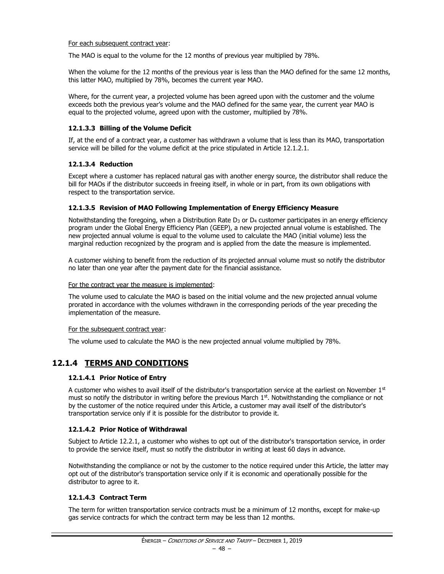#### For each subsequent contract year:

The MAO is equal to the volume for the 12 months of previous year multiplied by 78%.

When the volume for the 12 months of the previous year is less than the MAO defined for the same 12 months, this latter MAO, multiplied by 78%, becomes the current year MAO.

Where, for the current year, a projected volume has been agreed upon with the customer and the volume exceeds both the previous year's volume and the MAO defined for the same year, the current year MAO is equal to the projected volume, agreed upon with the customer, multiplied by 78%.

#### **12.1.3.3 Billing of the Volume Deficit**

If, at the end of a contract year, a customer has withdrawn a volume that is less than its MAO, transportation service will be billed for the volume deficit at the price stipulated in Article 12.1.2.1.

### **12.1.3.4 Reduction**

Except where a customer has replaced natural gas with another energy source, the distributor shall reduce the bill for MAOs if the distributor succeeds in freeing itself, in whole or in part, from its own obligations with respect to the transportation service.

#### **12.1.3.5 Revision of MAO Following Implementation of Energy Efficiency Measure**

Notwithstanding the foregoing, when a Distribution Rate  $D_3$  or  $D_4$  customer participates in an energy efficiency program under the Global Energy Efficiency Plan (GEEP), a new projected annual volume is established. The new projected annual volume is equal to the volume used to calculate the MAO (initial volume) less the marginal reduction recognized by the program and is applied from the date the measure is implemented.

A customer wishing to benefit from the reduction of its projected annual volume must so notify the distributor no later than one year after the payment date for the financial assistance.

#### For the contract year the measure is implemented:

The volume used to calculate the MAO is based on the initial volume and the new projected annual volume prorated in accordance with the volumes withdrawn in the corresponding periods of the year preceding the implementation of the measure.

#### For the subsequent contract year:

The volume used to calculate the MAO is the new projected annual volume multiplied by 78%.

# **12.1.4 TERMS AND CONDITIONS**

#### **12.1.4.1 Prior Notice of Entry**

A customer who wishes to avail itself of the distributor's transportation service at the earliest on November  $1<sup>st</sup>$ must so notify the distributor in writing before the previous March  $1<sup>st</sup>$ . Notwithstanding the compliance or not by the customer of the notice required under this Article, a customer may avail itself of the distributor's transportation service only if it is possible for the distributor to provide it.

#### **12.1.4.2 Prior Notice of Withdrawal**

Subject to Article 12.2.1, a customer who wishes to opt out of the distributor's transportation service, in order to provide the service itself, must so notify the distributor in writing at least 60 days in advance.

Notwithstanding the compliance or not by the customer to the notice required under this Article, the latter may opt out of the distributor's transportation service only if it is economic and operationally possible for the distributor to agree to it.

#### **12.1.4.3 Contract Term**

The term for written transportation service contracts must be a minimum of 12 months, except for make-up gas service contracts for which the contract term may be less than 12 months.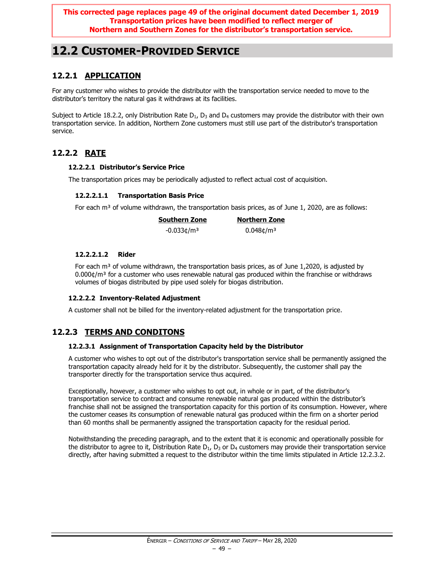**This corrected page replaces page 49 of the original document dated December 1, 2019 Transportation prices have been modified to reflect merger of Northern and Southern Zones for the distributor's transportation service.**

# **12.2 CUSTOMER-PROVIDED SERVICE**

# **12.2.1 APPLICATION**

For any customer who wishes to provide the distributor with the transportation service needed to move to the distributor's territory the natural gas it withdraws at its facilities.

Subject to Article 18.2.2, only Distribution Rate  $D_1$ ,  $D_3$  and  $D_4$  customers may provide the distributor with their own transportation service. In addition, Northern Zone customers must still use part of the distributor's transportation service.

# **12.2.2 RATE**

# **12.2.2.1 Distributor's Service Price**

The transportation prices may be periodically adjusted to reflect actual cost of acquisition.

### **12.2.2.1.1 Transportation Basis Price**

For each m<sup>3</sup> of volume withdrawn, the transportation basis prices, as of June 1, 2020, are as follows:

| <b>Southern Zone</b>      | <b>Northern Zone</b>     |
|---------------------------|--------------------------|
| $-0.033$ ¢/m <sup>3</sup> | $0.048$ ¢/m <sup>3</sup> |

### **12.2.2.1.2 Rider**

For each  $m<sup>3</sup>$  of volume withdrawn, the transportation basis prices, as of June 1,2020, is adjusted by  $0.000$ ¢/m<sup>3</sup> for a customer who uses renewable natural gas produced within the franchise or withdraws volumes of biogas distributed by pipe used solely for biogas distribution.

#### **12.2.2.2 Inventory-Related Adjustment**

A customer shall not be billed for the inventory-related adjustment for the transportation price.

# **12.2.3 TERMS AND CONDITONS**

#### **12.2.3.1 Assignment of Transportation Capacity held by the Distributor**

A customer who wishes to opt out of the distributor's transportation service shall be permanently assigned the transportation capacity already held for it by the distributor. Subsequently, the customer shall pay the transporter directly for the transportation service thus acquired.

Exceptionally, however, a customer who wishes to opt out, in whole or in part, of the distributor's transportation service to contract and consume renewable natural gas produced within the distributor's franchise shall not be assigned the transportation capacity for this portion of its consumption. However, where the customer ceases its consumption of renewable natural gas produced within the firm on a shorter period than 60 months shall be permanently assigned the transportation capacity for the residual period.

Notwithstanding the preceding paragraph, and to the extent that it is economic and operationally possible for the distributor to agree to it, Distribution Rate  $D_1$ ,  $D_3$  or  $D_4$  customers may provide their transportation service directly, after having submitted a request to the distributor within the time limits stipulated in Article 12.2.3.2.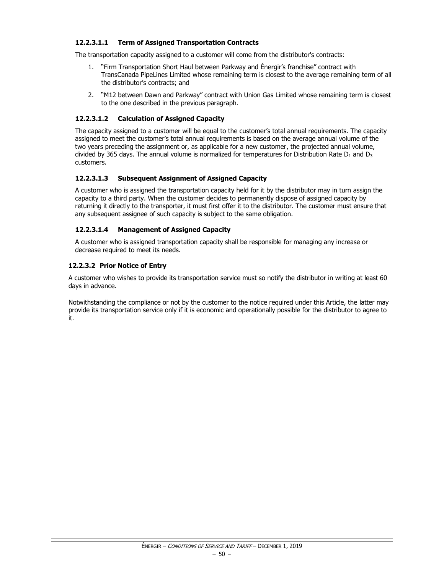### **12.2.3.1.1 Term of Assigned Transportation Contracts**

The transportation capacity assigned to a customer will come from the distributor's contracts:

- 1. "Firm Transportation Short Haul between Parkway and Énergir's franchise" contract with TransCanada PipeLines Limited whose remaining term is closest to the average remaining term of all the distributor's contracts; and
- 2. "M12 between Dawn and Parkway" contract with Union Gas Limited whose remaining term is closest to the one described in the previous paragraph.

#### **12.2.3.1.2 Calculation of Assigned Capacity**

The capacity assigned to a customer will be equal to the customer's total annual requirements. The capacity assigned to meet the customer's total annual requirements is based on the average annual volume of the two years preceding the assignment or, as applicable for a new customer, the projected annual volume, divided by 365 days. The annual volume is normalized for temperatures for Distribution Rate  $D_1$  and  $D_3$ customers.

### **12.2.3.1.3 Subsequent Assignment of Assigned Capacity**

A customer who is assigned the transportation capacity held for it by the distributor may in turn assign the capacity to a third party. When the customer decides to permanently dispose of assigned capacity by returning it directly to the transporter, it must first offer it to the distributor. The customer must ensure that any subsequent assignee of such capacity is subject to the same obligation.

### **12.2.3.1.4 Management of Assigned Capacity**

A customer who is assigned transportation capacity shall be responsible for managing any increase or decrease required to meet its needs.

### **12.2.3.2 Prior Notice of Entry**

A customer who wishes to provide its transportation service must so notify the distributor in writing at least 60 days in advance.

Notwithstanding the compliance or not by the customer to the notice required under this Article, the latter may provide its transportation service only if it is economic and operationally possible for the distributor to agree to it.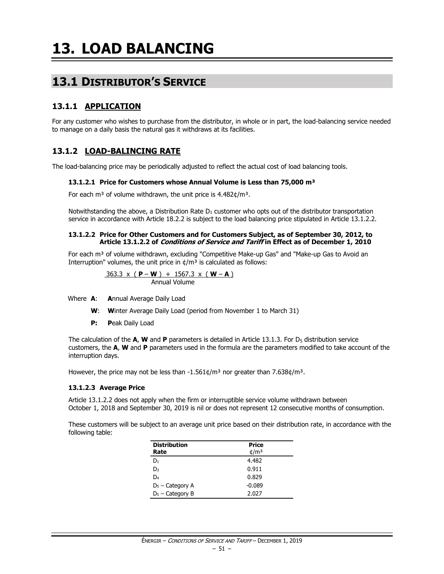# **13.1 DISTRIBUTOR'S SERVICE**

# **13.1.1 APPLICATION**

For any customer who wishes to purchase from the distributor, in whole or in part, the load-balancing service needed to manage on a daily basis the natural gas it withdraws at its facilities.

# **13.1.2 LOAD-BALINCING RATE**

The load-balancing price may be periodically adjusted to reflect the actual cost of load balancing tools.

#### **13.1.2.1 Price for Customers whose Annual Volume is Less than 75,000 m³**

For each m<sup>3</sup> of volume withdrawn, the unit price is  $4.482 \text{C/m}^3$ .

Notwithstanding the above, a Distribution Rate  $D_1$  customer who opts out of the distributor transportation service in accordance with Article 18.2.2 is subject to the load balancing price stipulated in Article 13.1.2.2.

#### **13.1.2.2 Price for Other Customers and for Customers Subject, as of September 30, 2012, to Article 13.1.2.2 of Conditions of Service and Tariff in Effect as of December 1, 2010**

For each m<sup>3</sup> of volume withdrawn, excluding "Competitive Make-up Gas" and "Make-up Gas to Avoid an Interruption" volumes, the unit price in  $\phi/m^3$  is calculated as follows:

$$
\frac{363.3 \times (P-W) + 1567.3 \times (W-A)}{ \text{Annual Volume}}
$$

Where **A**: **A**nnual Average Daily Load

- **W**: **W**inter Average Daily Load (period from November 1 to March 31)
- **P: P**eak Daily Load

The calculation of the  $\mathbf{A}$ , **W** and **P** parameters is detailed in Article 13.1.3. For  $D_5$  distribution service customers, the **A**, **W** and **P** parameters used in the formula are the parameters modified to take account of the interruption days.

However, the price may not be less than  $-1.561¢/m<sup>3</sup>$  nor greater than 7.638¢/m<sup>3</sup>.

#### **13.1.2.3 Average Price**

Article 13.1.2.2 does not apply when the firm or interruptible service volume withdrawn between October 1, 2018 and September 30, 2019 is nil or does not represent 12 consecutive months of consumption.

These customers will be subject to an average unit price based on their distribution rate, in accordance with the following table:

| <b>Distribution</b> | <b>Price</b>    |
|---------------------|-----------------|
| Rate                | $\frac{d}{m^3}$ |
| D1                  | 4.482           |
| D٩                  | 0.911           |
| D4                  | 0.829           |
| $D_5$ – Category A  | $-0.089$        |
| $D_5$ – Category B  | 2.027           |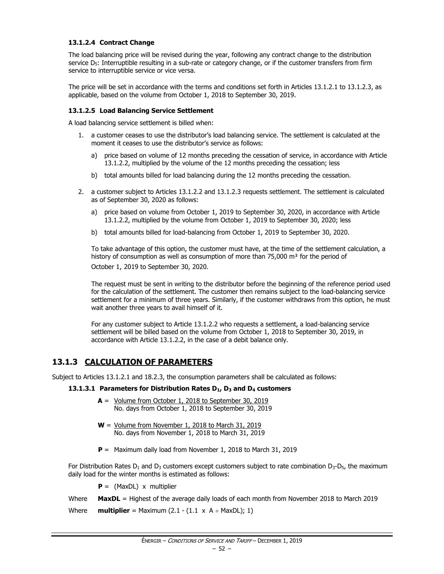### **13.1.2.4 Contract Change**

The load balancing price will be revised during the year, following any contract change to the distribution service  $D_5$ : Interruptible resulting in a sub-rate or category change, or if the customer transfers from firm service to interruptible service or vice versa.

The price will be set in accordance with the terms and conditions set forth in Articles 13.1.2.1 to 13.1.2.3, as applicable, based on the volume from October 1, 2018 to September 30, 2019.

#### **13.1.2.5 Load Balancing Service Settlement**

A load balancing service settlement is billed when:

- 1. a customer ceases to use the distributor's load balancing service. The settlement is calculated at the moment it ceases to use the distributor's service as follows:
	- a) price based on volume of 12 months preceding the cessation of service, in accordance with Article 13.1.2.2, multiplied by the volume of the 12 months preceding the cessation; less
	- b) total amounts billed for load balancing during the 12 months preceding the cessation.
- 2. a customer subject to Articles 13.1.2.2 and 13.1.2.3 requests settlement. The settlement is calculated as of September 30, 2020 as follows:
	- a) price based on volume from October 1, 2019 to September 30, 2020, in accordance with Article 13.1.2.2, multiplied by the volume from October 1, 2019 to September 30, 2020; less
	- b) total amounts billed for load-balancing from October 1, 2019 to September 30, 2020.

To take advantage of this option, the customer must have, at the time of the settlement calculation, a history of consumption as well as consumption of more than  $75,000$  m<sup>3</sup> for the period of October 1, 2019 to September 30, 2020.

The request must be sent in writing to the distributor before the beginning of the reference period used for the calculation of the settlement. The customer then remains subject to the load-balancing service settlement for a minimum of three years. Similarly, if the customer withdraws from this option, he must wait another three years to avail himself of it.

For any customer subject to Article 13.1.2.2 who requests a settlement, a load-balancing service settlement will be billed based on the volume from October 1, 2018 to September 30, 2019, in accordance with Article 13.1.2.2, in the case of a debit balance only.

# **13.1.3 CALCULATION OF PARAMETERS**

Subject to Articles 13.1.2.1 and 18.2.3, the consumption parameters shall be calculated as follows:

#### **13.1.3.1 Parameters for Distribution Rates D1, D<sup>3</sup> and D<sup>4</sup> customers**

- **A** = Volume from October 1, 2018 to September 30, 2019 No. days from October 1, 2018 to September 30, 2019
- **W** = Volume from November 1, 2018 to March 31, 2019 No. days from November 1, 2018 to March 31, 2019
- **P** = Maximum daily load from November 1, 2018 to March 31, 2019

For Distribution Rates  $D_1$  and  $D_3$  customers except customers subject to rate combination  $D_3$ - $D_5$ , the maximum daily load for the winter months is estimated as follows:

**P** = (MaxDL) x multiplier

Where **MaxDL** = Highest of the average daily loads of each month from November 2018 to March 2019

Where **multiplier** = Maximum  $(2.1 - (1.1 \times A + \text{MaxDL}); 1)$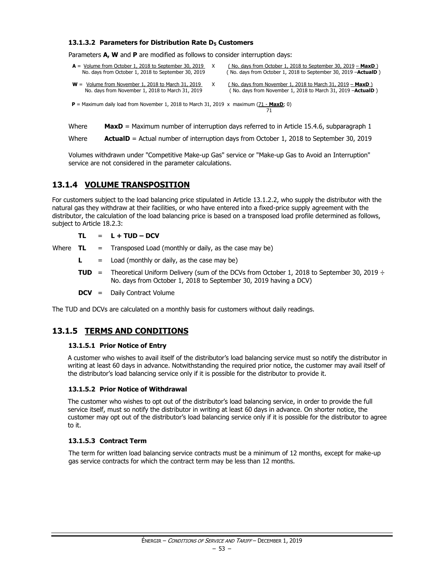#### **13.1.3.2 Parameters for Distribution Rate D<sup>5</sup> Customers**

Parameters **A, W** and **P** are modified as follows to consider interruption days:

| $A =$ Volume from October 1, 2018 to September 30, 2019<br>No. days from October 1, 2018 to September 30, 2019 | (No. days from October 1, 2018 to September 30, 2019 $-$ MaxD)<br>(No. days from October 1, 2018 to September 30, 2019 - <b>ActualD</b> ) |
|----------------------------------------------------------------------------------------------------------------|-------------------------------------------------------------------------------------------------------------------------------------------|
| $W =$ Volume from November 1, 2018 to March 31, 2019<br>No. days from November 1, 2018 to March 31, 2019       | (No. days from November 1, 2018 to March 31, 2019 $-$ MaxD)<br>(No. days from November 1, 2018 to March 31, 2019 - <b>ActualD</b> )       |

 $P =$  Maximum daily load from November 1, 2018 to March 31, 2019 x maximum (71 - **MaxD**; 0) 71

Where **MaxD** = Maximum number of interruption days referred to in Article 15.4.6, subparagraph 1

Where **ActualD** = Actual number of interruption days from October 1, 2018 to September 30, 2019

Volumes withdrawn under "Competitive Make-up Gas" service or "Make-up Gas to Avoid an Interruption" service are not considered in the parameter calculations.

# **13.1.4 VOLUME TRANSPOSITION**

For customers subject to the load balancing price stipulated in Article 13.1.2.2, who supply the distributor with the natural gas they withdraw at their facilities, or who have entered into a fixed-price supply agreement with the distributor, the calculation of the load balancing price is based on a transposed load profile determined as follows, subject to Article 18.2.3:

 $TL = L + TUD - DCV$ 

Where  $TL =$  Transposed Load (monthly or daily, as the case may be)

- $\mathsf{L}$  = Load (monthly or daily, as the case may be)
- **TUD** = Theoretical Uniform Delivery (sum of the DCVs from October 1, 2018 to September 30, 2019  $\div$ No. days from October 1, 2018 to September 30, 2019 having a DCV)

**DCV** = Daily Contract Volume

The TUD and DCVs are calculated on a monthly basis for customers without daily readings.

# **13.1.5 TERMS AND CONDITIONS**

#### **13.1.5.1 Prior Notice of Entry**

A customer who wishes to avail itself of the distributor's load balancing service must so notify the distributor in writing at least 60 days in advance. Notwithstanding the required prior notice, the customer may avail itself of the distributor's load balancing service only if it is possible for the distributor to provide it.

#### **13.1.5.2 Prior Notice of Withdrawal**

The customer who wishes to opt out of the distributor's load balancing service, in order to provide the full service itself, must so notify the distributor in writing at least 60 days in advance. On shorter notice, the customer may opt out of the distributor's load balancing service only if it is possible for the distributor to agree to it.

#### **13.1.5.3 Contract Term**

The term for written load balancing service contracts must be a minimum of 12 months, except for make-up gas service contracts for which the contract term may be less than 12 months.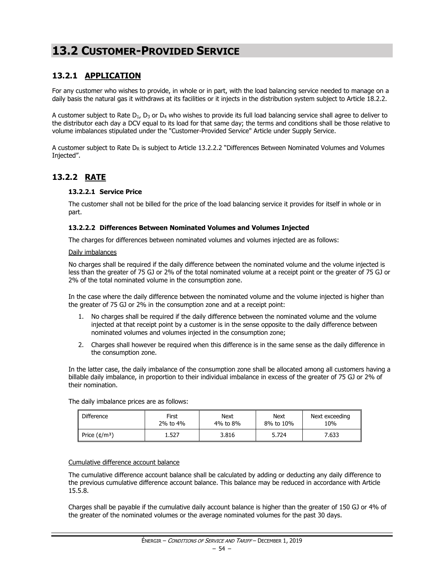# **13.2 CUSTOMER-PROVIDED SERVICE**

# **13.2.1 APPLICATION**

For any customer who wishes to provide, in whole or in part, with the load balancing service needed to manage on a daily basis the natural gas it withdraws at its facilities or it injects in the distribution system subject to Article 18.2.2.

A customer subject to Rate  $D_1$ ,  $D_3$  or  $D_4$  who wishes to provide its full load balancing service shall agree to deliver to the distributor each day a DCV equal to its load for that same day; the terms and conditions shall be those relative to volume imbalances stipulated under the "Customer-Provided Service" Article under Supply Service.

A customer subject to Rate  $D_R$  is subject to Article 13.2.2.2 "Differences Between Nominated Volumes and Volumes Injected".

# **13.2.2 RATE**

#### **13.2.2.1 Service Price**

The customer shall not be billed for the price of the load balancing service it provides for itself in whole or in part.

#### **13.2.2.2 Differences Between Nominated Volumes and Volumes Injected**

The charges for differences between nominated volumes and volumes injected are as follows:

#### Daily imbalances

No charges shall be required if the daily difference between the nominated volume and the volume injected is less than the greater of 75 GJ or 2% of the total nominated volume at a receipt point or the greater of 75 GJ or 2% of the total nominated volume in the consumption zone.

In the case where the daily difference between the nominated volume and the volume injected is higher than the greater of 75 GJ or 2% in the consumption zone and at a receipt point:

- 1. No charges shall be required if the daily difference between the nominated volume and the volume injected at that receipt point by a customer is in the sense opposite to the daily difference between nominated volumes and volumes injected in the consumption zone;
- 2. Charges shall however be required when this difference is in the same sense as the daily difference in the consumption zone.

In the latter case, the daily imbalance of the consumption zone shall be allocated among all customers having a billable daily imbalance, in proportion to their individual imbalance in excess of the greater of 75 GJ or 2% of their nomination.

The daily imbalance prices are as follows:

| <b>Difference</b>       | First    | <b>Next</b> | Next      | Next exceeding |
|-------------------------|----------|-------------|-----------|----------------|
|                         | 2% to 4% | 4% to 8%    | 8% to 10% | 10%            |
| Price $(\frac{t}{m^3})$ | 1.527    | 3.816       | 5.724     | 7.633          |

#### Cumulative difference account balance

The cumulative difference account balance shall be calculated by adding or deducting any daily difference to the previous cumulative difference account balance. This balance may be reduced in accordance with Article 15.5.8.

Charges shall be payable if the cumulative daily account balance is higher than the greater of 150 GJ or 4% of the greater of the nominated volumes or the average nominated volumes for the past 30 days.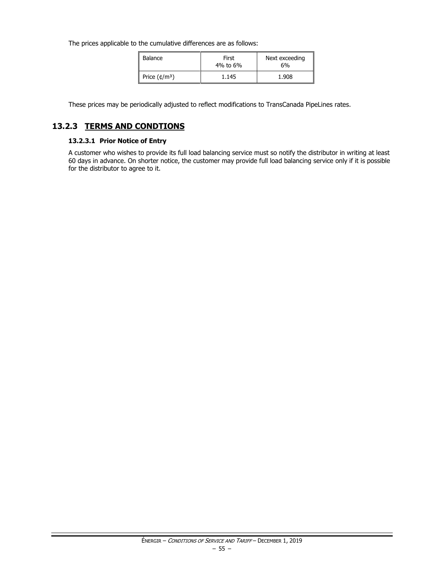The prices applicable to the cumulative differences are as follows:

| Balance                 | First<br>4% to 6% | Next exceeding<br>6% |
|-------------------------|-------------------|----------------------|
| Price $(\frac{t}{m^3})$ | 1.145             | 1.908                |

These prices may be periodically adjusted to reflect modifications to TransCanada PipeLines rates.

# **13.2.3 TERMS AND CONDTIONS**

### **13.2.3.1 Prior Notice of Entry**

A customer who wishes to provide its full load balancing service must so notify the distributor in writing at least 60 days in advance. On shorter notice, the customer may provide full load balancing service only if it is possible for the distributor to agree to it.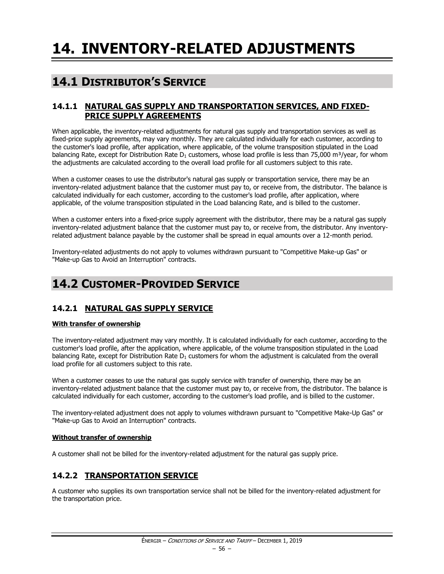# **14.1 DISTRIBUTOR'S SERVICE**

# **14.1.1 NATURAL GAS SUPPLY AND TRANSPORTATION SERVICES, AND FIXED-PRICE SUPPLY AGREEMENTS**

When applicable, the inventory-related adjustments for natural gas supply and transportation services as well as fixed-price supply agreements, may vary monthly. They are calculated individually for each customer, according to the customer's load profile, after application, where applicable, of the volume transposition stipulated in the Load balancing Rate, except for Distribution Rate  $D_1$  customers, whose load profile is less than 75,000 m<sup>3</sup>/year, for whom the adjustments are calculated according to the overall load profile for all customers subject to this rate.

When a customer ceases to use the distributor's natural gas supply or transportation service, there may be an inventory-related adjustment balance that the customer must pay to, or receive from, the distributor. The balance is calculated individually for each customer, according to the customer's load profile, after application, where applicable, of the volume transposition stipulated in the Load balancing Rate, and is billed to the customer.

When a customer enters into a fixed-price supply agreement with the distributor, there may be a natural gas supply inventory-related adjustment balance that the customer must pay to, or receive from, the distributor. Any inventoryrelated adjustment balance payable by the customer shall be spread in equal amounts over a 12-month period.

Inventory-related adjustments do not apply to volumes withdrawn pursuant to "Competitive Make-up Gas" or "Make-up Gas to Avoid an Interruption" contracts.

# **14.2 CUSTOMER-PROVIDED SERVICE**

# **14.2.1 NATURAL GAS SUPPLY SERVICE**

# **With transfer of ownership**

The inventory-related adjustment may vary monthly. It is calculated individually for each customer, according to the customer's load profile, after the application, where applicable, of the volume transposition stipulated in the Load balancing Rate, except for Distribution Rate  $D_1$  customers for whom the adjustment is calculated from the overall load profile for all customers subject to this rate.

When a customer ceases to use the natural gas supply service with transfer of ownership, there may be an inventory-related adjustment balance that the customer must pay to, or receive from, the distributor. The balance is calculated individually for each customer, according to the customer's load profile, and is billed to the customer.

The inventory-related adjustment does not apply to volumes withdrawn pursuant to "Competitive Make-Up Gas" or "Make-up Gas to Avoid an Interruption" contracts.

#### **Without transfer of ownership**

A customer shall not be billed for the inventory-related adjustment for the natural gas supply price.

# **14.2.2 TRANSPORTATION SERVICE**

A customer who supplies its own transportation service shall not be billed for the inventory-related adjustment for the transportation price.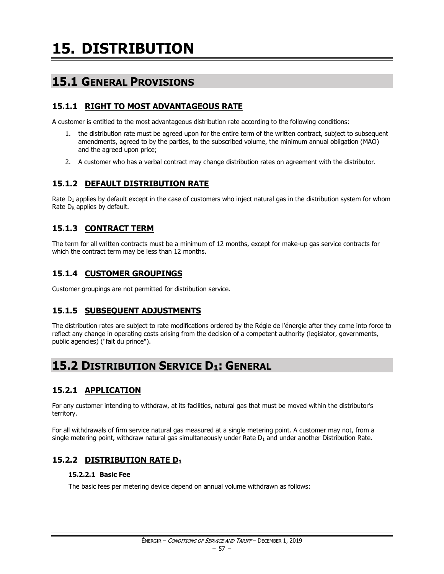# **15.1 GENERAL PROVISIONS**

# **15.1.1 RIGHT TO MOST ADVANTAGEOUS RATE**

A customer is entitled to the most advantageous distribution rate according to the following conditions:

- 1. the distribution rate must be agreed upon for the entire term of the written contract, subject to subsequent amendments, agreed to by the parties, to the subscribed volume, the minimum annual obligation (MAO) and the agreed upon price;
- 2. A customer who has a verbal contract may change distribution rates on agreement with the distributor.

# **15.1.2 DEFAULT DISTRIBUTION RATE**

Rate  $D_1$  applies by default except in the case of customers who inject natural gas in the distribution system for whom Rate  $D_R$  applies by default.

# **15.1.3 CONTRACT TERM**

The term for all written contracts must be a minimum of 12 months, except for make-up gas service contracts for which the contract term may be less than 12 months.

# **15.1.4 CUSTOMER GROUPINGS**

Customer groupings are not permitted for distribution service.

# **15.1.5 SUBSEQUENT ADJUSTMENTS**

The distribution rates are subject to rate modifications ordered by the Régie de l'énergie after they come into force to reflect any change in operating costs arising from the decision of a competent authority (legislator, governments, public agencies) ("fait du prince").

# **15.2 DISTRIBUTION SERVICE D1: GENERAL**

# **15.2.1 APPLICATION**

For any customer intending to withdraw, at its facilities, natural gas that must be moved within the distributor's territory.

For all withdrawals of firm service natural gas measured at a single metering point. A customer may not, from a single metering point, withdraw natural gas simultaneously under Rate  $D_1$  and under another Distribution Rate.

# **15.2.2 DISTRIBUTION RATE D<sup>1</sup>**

# **15.2.2.1 Basic Fee**

The basic fees per metering device depend on annual volume withdrawn as follows: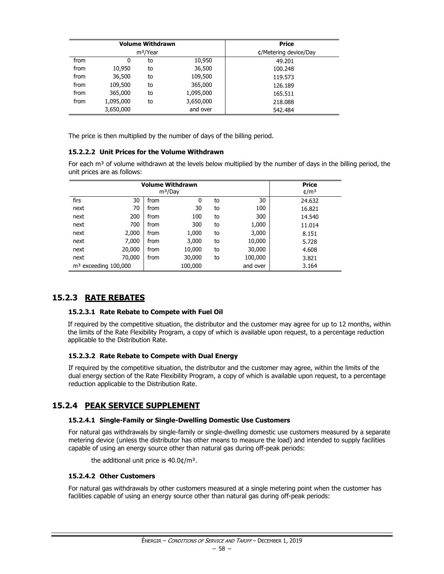|      |           | <b>Volume Withdrawn</b> | <b>Price</b> |                       |
|------|-----------|-------------------------|--------------|-----------------------|
|      |           | m <sup>3</sup> /Year    |              | ¢/Metering device/Day |
| from | 0         | to                      | 10,950       | 49.201                |
| from | 10,950    | to                      | 36,500       | 100.248               |
| from | 36,500    | to                      | 109,500      | 119.573               |
| from | 109,500   | to                      | 365,000      | 126.189               |
| from | 365,000   | to                      | 1,095,000    | 165.511               |
| from | 1,095,000 | to                      | 3,650,000    | 218,088               |
|      | 3,650,000 |                         | and over     | 542.484               |

The price is then multiplied by the number of days of the billing period.

### **15.2.2.2 Unit Prices for the Volume Withdrawn**

For each  $m<sup>3</sup>$  of volume withdrawn at the levels below multiplied by the number of days in the billing period, the unit prices are as follows:

|                        | <b>Price</b> |      |                     |    |          |                 |
|------------------------|--------------|------|---------------------|----|----------|-----------------|
|                        |              |      | m <sup>3</sup> /Day |    |          | $\frac{4}{m^3}$ |
| firs                   | 30           | from | 0                   | to | 30       | 24.632          |
| next                   | 70           | from | 30                  | to | 100      | 16.821          |
| next                   | 200          | from | 100                 | to | 300      | 14.540          |
| next                   | 700          | from | 300                 | to | 1,000    | 11.014          |
| next                   | 2,000        | from | 1,000               | to | 3,000    | 8.151           |
| next                   | 7,000        | from | 3,000               | to | 10,000   | 5.728           |
| next                   | 20,000       | from | 10,000              | to | 30,000   | 4.608           |
| next                   | 70,000       | from | 30,000              | to | 100,000  | 3.821           |
| $m3$ exceeding 100,000 |              |      | 100,000             |    | and over | 3.164           |

# **15.2.3 RATE REBATES**

#### **15.2.3.1 Rate Rebate to Compete with Fuel Oil**

If required by the competitive situation, the distributor and the customer may agree for up to 12 months, within the limits of the Rate Flexibility Program, a copy of which is available upon request, to a percentage reduction applicable to the Distribution Rate.

#### **15.2.3.2 Rate Rebate to Compete with Dual Energy**

If required by the competitive situation, the distributor and the customer may agree, within the limits of the dual energy section of the Rate Flexibility Program, a copy of which is available upon request, to a percentage reduction applicable to the Distribution Rate.

# **15.2.4 PEAK SERVICE SUPPLEMENT**

#### **15.2.4.1 Single-Family or Single-Dwelling Domestic Use Customers**

For natural gas withdrawals by single-family or single-dwelling domestic use customers measured by a separate metering device (unless the distributor has other means to measure the load) and intended to supply facilities capable of using an energy source other than natural gas during off-peak periods:

the additional unit price is  $40.0$ ¢/m<sup>3</sup>.

#### **15.2.4.2 Other Customers**

For natural gas withdrawals by other customers measured at a single metering point when the customer has facilities capable of using an energy source other than natural gas during off-peak periods: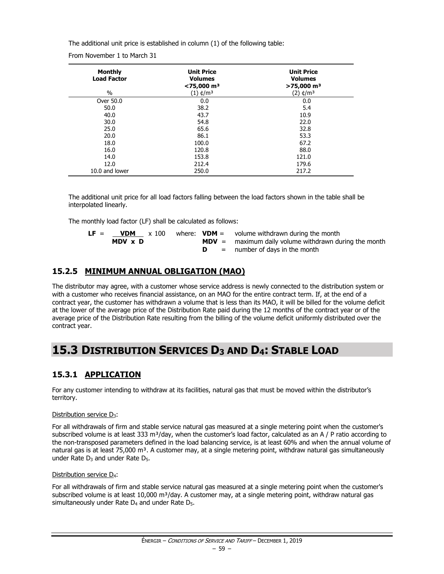The additional unit price is established in column (1) of the following table:

From November 1 to March 31

| <b>Monthly</b><br><b>Load Factor</b> | <b>Unit Price</b><br><b>Volumes</b><br>$<$ 75,000 m <sup>3</sup> | <b>Unit Price</b><br><b>Volumes</b><br>$>75,000$ m <sup>3</sup> |
|--------------------------------------|------------------------------------------------------------------|-----------------------------------------------------------------|
| $\%$                                 | $(1)$ ¢/m <sup>3</sup>                                           | (2) ¢/m <sup>3</sup>                                            |
| Over 50.0                            | 0.0                                                              | 0.0                                                             |
| 50.0                                 | 38.2                                                             | 5.4                                                             |
| 40.0                                 | 43.7                                                             | 10.9                                                            |
| 30.0                                 | 54.8                                                             | 22.0                                                            |
| 25.0                                 | 65.6                                                             | 32.8                                                            |
| 20.0                                 | 86.1                                                             | 53.3                                                            |
| 18.0                                 | 100.0                                                            | 67.2                                                            |
| 16.0                                 | 120.8                                                            | 88.0                                                            |
| 14.0                                 | 153.8                                                            | 121.0                                                           |
| 12.0                                 | 212.4                                                            | 179.6                                                           |
| 10.0 and lower                       | 250.0                                                            | 217.2                                                           |

The additional unit price for all load factors falling between the load factors shown in the table shall be interpolated linearly.

The monthly load factor (LF) shall be calculated as follows:

| LF = | <b>VDM</b> | x 100 |  | where: $VDM =$ volume withdrawn during the month        |
|------|------------|-------|--|---------------------------------------------------------|
|      | MDV x D    |       |  | $MDV =$ maximum daily volume withdrawn during the month |
|      |            |       |  | $=$ number of days in the month                         |

# **15.2.5 MINIMUM ANNUAL OBLIGATION (MAO)**

The distributor may agree, with a customer whose service address is newly connected to the distribution system or with a customer who receives financial assistance, on an MAO for the entire contract term. If, at the end of a contract year, the customer has withdrawn a volume that is less than its MAO, it will be billed for the volume deficit at the lower of the average price of the Distribution Rate paid during the 12 months of the contract year or of the average price of the Distribution Rate resulting from the billing of the volume deficit uniformly distributed over the contract year.

# **15.3 DISTRIBUTION SERVICES D<sup>3</sup> AND D4: STABLE LOAD**

# **15.3.1 APPLICATION**

For any customer intending to withdraw at its facilities, natural gas that must be moved within the distributor's territory.

#### Distribution service D<sub>3</sub>:

For all withdrawals of firm and stable service natural gas measured at a single metering point when the customer's subscribed volume is at least 333 m<sup>3</sup>/day, when the customer's load factor, calculated as an A / P ratio according to the non-transposed parameters defined in the load balancing service, is at least 60% and when the annual volume of natural gas is at least 75,000 m<sup>3</sup>. A customer may, at a single metering point, withdraw natural gas simultaneously under Rate  $D_3$  and under Rate  $D_5$ .

#### Distribution service D<sub>4</sub>:

For all withdrawals of firm and stable service natural gas measured at a single metering point when the customer's subscribed volume is at least 10,000 m<sup>3</sup>/day. A customer may, at a single metering point, withdraw natural gas simultaneously under Rate  $D_4$  and under Rate  $D_5$ .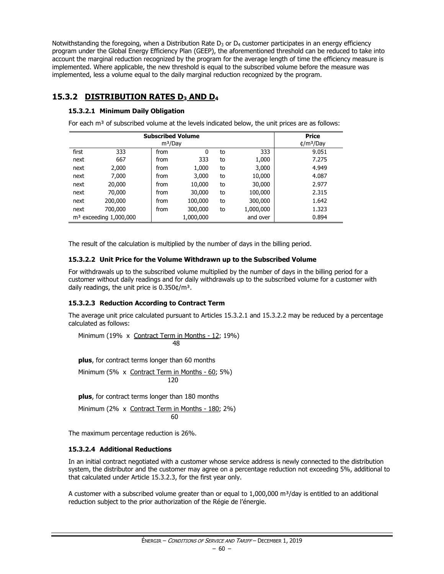Notwithstanding the foregoing, when a Distribution Rate  $D_3$  or  $D_4$  customer participates in an energy efficiency program under the Global Energy Efficiency Plan (GEEP), the aforementioned threshold can be reduced to take into account the marginal reduction recognized by the program for the average length of time the efficiency measure is implemented. Where applicable, the new threshold is equal to the subscribed volume before the measure was implemented, less a volume equal to the daily marginal reduction recognized by the program.

# **15.3.2 DISTRIBUTION RATES D<sup>3</sup> AND D<sup>4</sup>**

# **15.3.2.1 Minimum Daily Obligation**

For each m<sup>3</sup> of subscribed volume at the levels indicated below, the unit prices are as follows:

|       | <b>Subscribed Volume</b> | <b>Price</b><br>$\frac{4}{m^3}$ Day |           |    |           |       |
|-------|--------------------------|-------------------------------------|-----------|----|-----------|-------|
| first | 333                      | from                                | 0         | to | 333       | 9.051 |
| next  | 667                      | from                                | 333       | to | 1,000     | 7.275 |
| next  | 2,000                    | from                                | 1,000     | to | 3,000     | 4.949 |
| next  | 7,000                    | from                                | 3,000     | to | 10,000    | 4.087 |
| next  | 20,000                   | from                                | 10,000    | to | 30,000    | 2.977 |
| next  | 70,000                   | from                                | 30,000    | to | 100,000   | 2.315 |
| next  | 200,000                  | from                                | 100,000   | to | 300,000   | 1.642 |
| next  | 700,000                  | from                                | 300,000   | to | 1,000,000 | 1.323 |
|       | $m3$ exceeding 1,000,000 |                                     | 1,000,000 |    | and over  | 0.894 |

The result of the calculation is multiplied by the number of days in the billing period.

# **15.3.2.2 Unit Price for the Volume Withdrawn up to the Subscribed Volume**

For withdrawals up to the subscribed volume multiplied by the number of days in the billing period for a customer without daily readings and for daily withdrawals up to the subscribed volume for a customer with daily readings, the unit price is  $0.350 \text{t/m}^3$ .

# **15.3.2.3 Reduction According to Contract Term**

The average unit price calculated pursuant to Articles 15.3.2.1 and 15.3.2.2 may be reduced by a percentage calculated as follows:

Minimum (19% x Contract Term in Months - 12; 19%) 48

**plus**, for contract terms longer than 60 months

Minimum (5% x Contract Term in Months - 60; 5%) 120

**plus**, for contract terms longer than 180 months

Minimum (2% x Contract Term in Months - 180; 2%) 60

The maximum percentage reduction is 26%.

# **15.3.2.4 Additional Reductions**

In an initial contract negotiated with a customer whose service address is newly connected to the distribution system, the distributor and the customer may agree on a percentage reduction not exceeding 5%, additional to that calculated under Article 15.3.2.3, for the first year only.

A customer with a subscribed volume greater than or equal to  $1,000,000$  m<sup>3</sup>/day is entitled to an additional reduction subject to the prior authorization of the Régie de l'énergie.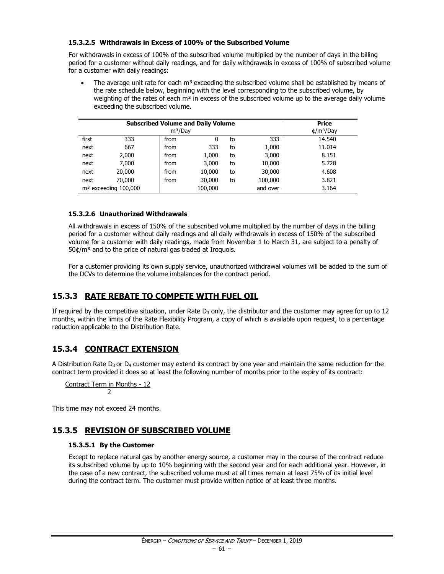### **15.3.2.5 Withdrawals in Excess of 100% of the Subscribed Volume**

For withdrawals in excess of 100% of the subscribed volume multiplied by the number of days in the billing period for a customer without daily readings, and for daily withdrawals in excess of 100% of subscribed volume for a customer with daily readings:

The average unit rate for each  $m<sup>3</sup>$  exceeding the subscribed volume shall be established by means of the rate schedule below, beginning with the level corresponding to the subscribed volume, by weighting of the rates of each  $m<sup>3</sup>$  in excess of the subscribed volume up to the average daily volume exceeding the subscribed volume.

|       | <b>Subscribed Volume and Daily Volume</b> | <b>Price</b><br>$\text{t/m}^3$ /Day |         |    |          |        |
|-------|-------------------------------------------|-------------------------------------|---------|----|----------|--------|
| first | 333                                       | from                                | 0       | to | 333      | 14.540 |
| next  | 667                                       | from                                | 333     | to | 1,000    | 11.014 |
| next  | 2,000                                     | from                                | 1,000   | to | 3,000    | 8.151  |
| next  | 7,000                                     | from                                | 3,000   | to | 10,000   | 5.728  |
| next  | 20,000                                    | from                                | 10,000  | to | 30,000   | 4.608  |
| next  | 70,000                                    | from                                | 30,000  | to | 100,000  | 3.821  |
|       | $m3$ exceeding 100,000                    |                                     | 100,000 |    | and over | 3.164  |

### **15.3.2.6 Unauthorized Withdrawals**

All withdrawals in excess of 150% of the subscribed volume multiplied by the number of days in the billing period for a customer without daily readings and all daily withdrawals in excess of 150% of the subscribed volume for a customer with daily readings, made from November 1 to March 31, are subject to a penalty of  $50¢/m<sup>3</sup>$  and to the price of natural gas traded at Iroquois.

For a customer providing its own supply service, unauthorized withdrawal volumes will be added to the sum of the DCVs to determine the volume imbalances for the contract period.

# **15.3.3 RATE REBATE TO COMPETE WITH FUEL OIL**

If required by the competitive situation, under Rate  $D_3$  only, the distributor and the customer may agree for up to 12 months, within the limits of the Rate Flexibility Program, a copy of which is available upon request, to a percentage reduction applicable to the Distribution Rate.

# **15.3.4 CONTRACT EXTENSION**

A Distribution Rate  $D_3$  or  $D_4$  customer may extend its contract by one year and maintain the same reduction for the contract term provided it does so at least the following number of months prior to the expiry of its contract:

Contract Term in Months - 12 2

This time may not exceed 24 months.

# **15.3.5 REVISION OF SUBSCRIBED VOLUME**

# **15.3.5.1 By the Customer**

Except to replace natural gas by another energy source, a customer may in the course of the contract reduce its subscribed volume by up to 10% beginning with the second year and for each additional year. However, in the case of a new contract, the subscribed volume must at all times remain at least 75% of its initial level during the contract term. The customer must provide written notice of at least three months.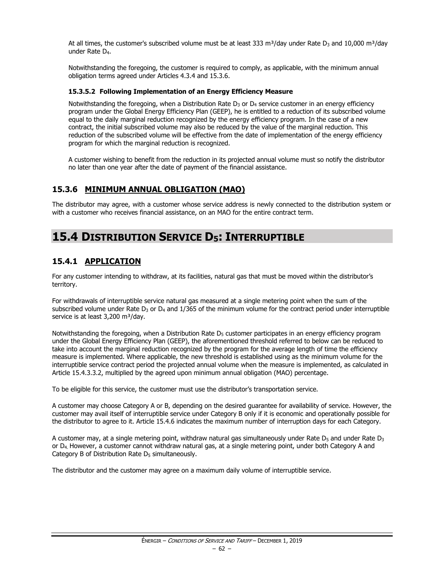At all times, the customer's subscribed volume must be at least 333 m<sup>3</sup>/day under Rate  $D_3$  and 10,000 m<sup>3</sup>/day under Rate D4.

Notwithstanding the foregoing, the customer is required to comply, as applicable, with the minimum annual obligation terms agreed under Articles 4.3.4 and 15.3.6.

### **15.3.5.2 Following Implementation of an Energy Efficiency Measure**

Notwithstanding the foregoing, when a Distribution Rate  $D_3$  or  $D_4$  service customer in an energy efficiency program under the Global Energy Efficiency Plan (GEEP), he is entitled to a reduction of its subscribed volume equal to the daily marginal reduction recognized by the energy efficiency program. In the case of a new contract, the initial subscribed volume may also be reduced by the value of the marginal reduction. This reduction of the subscribed volume will be effective from the date of implementation of the energy efficiency program for which the marginal reduction is recognized.

A customer wishing to benefit from the reduction in its projected annual volume must so notify the distributor no later than one year after the date of payment of the financial assistance.

# **15.3.6 MINIMUM ANNUAL OBLIGATION (MAO)**

The distributor may agree, with a customer whose service address is newly connected to the distribution system or with a customer who receives financial assistance, on an MAO for the entire contract term.

# **15.4 DISTRIBUTION SERVICE D5: INTERRUPTIBLE**

# **15.4.1 APPLICATION**

For any customer intending to withdraw, at its facilities, natural gas that must be moved within the distributor's territory.

For withdrawals of interruptible service natural gas measured at a single metering point when the sum of the subscribed volume under Rate  $D_3$  or  $D_4$  and 1/365 of the minimum volume for the contract period under interruptible service is at least 3,200 m<sup>3</sup>/day.

Notwithstanding the foregoing, when a Distribution Rate  $D<sub>5</sub>$  customer participates in an energy efficiency program under the Global Energy Efficiency Plan (GEEP), the aforementioned threshold referred to below can be reduced to take into account the marginal reduction recognized by the program for the average length of time the efficiency measure is implemented. Where applicable, the new threshold is established using as the minimum volume for the interruptible service contract period the projected annual volume when the measure is implemented, as calculated in Article 15.4.3.3.2, multiplied by the agreed upon minimum annual obligation (MAO) percentage.

To be eligible for this service, the customer must use the distributor's transportation service.

A customer may choose Category A or B, depending on the desired guarantee for availability of service. However, the customer may avail itself of interruptible service under Category B only if it is economic and operationally possible for the distributor to agree to it. Article 15.4.6 indicates the maximum number of interruption days for each Category.

A customer may, at a single metering point, withdraw natural gas simultaneously under Rate  $D_5$  and under Rate  $D_3$ or D4. However, a customer cannot withdraw natural gas, at a single metering point, under both Category A and Category B of Distribution Rate  $D_5$  simultaneously.

The distributor and the customer may agree on a maximum daily volume of interruptible service.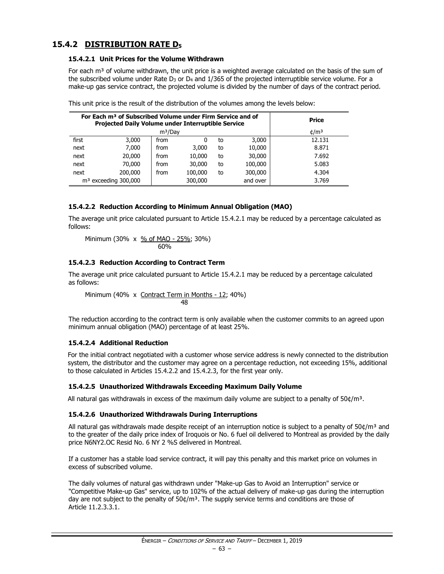# **15.4.2 DISTRIBUTION RATE D<sup>5</sup>**

#### **15.4.2.1 Unit Prices for the Volume Withdrawn**

For each  $m<sup>3</sup>$  of volume withdrawn, the unit price is a weighted average calculated on the basis of the sum of the subscribed volume under Rate  $D_3$  or  $D_4$  and 1/365 of the projected interruptible service volume. For a make-up gas service contract, the projected volume is divided by the number of days of the contract period.

|       | For Each m <sup>3</sup> of Subscribed Volume under Firm Service and of<br>Projected Daily Volume under Interruptible Service | Price               |         |    |          |                 |
|-------|------------------------------------------------------------------------------------------------------------------------------|---------------------|---------|----|----------|-----------------|
|       |                                                                                                                              | m <sup>3</sup> /Day |         |    |          | $\frac{d}{m^3}$ |
| first | 3,000                                                                                                                        | from                | 0       | to | 3,000    | 12.131          |
| next  | 7.000                                                                                                                        | from                | 3,000   | to | 10,000   | 8.871           |
| next  | 20,000                                                                                                                       | from                | 10,000  | to | 30,000   | 7.692           |
| next  | 70,000                                                                                                                       | from                | 30,000  | to | 100,000  | 5.083           |
| next  | 200,000                                                                                                                      | from                | 100,000 | to | 300,000  | 4.304           |
|       | $m3$ exceeding 300,000                                                                                                       |                     | 300,000 |    | and over | 3.769           |

| This unit price is the result of the distribution of the volumes among the levels below: |  |  |
|------------------------------------------------------------------------------------------|--|--|
|                                                                                          |  |  |

# **15.4.2.2 Reduction According to Minimum Annual Obligation (MAO)**

The average unit price calculated pursuant to Article 15.4.2.1 may be reduced by a percentage calculated as follows:

Minimum (30% x 
$$
\frac{\% \text{ of MAO} - 25\%}{60\%}
$$
; 30%)

### **15.4.2.3 Reduction According to Contract Term**

The average unit price calculated pursuant to Article 15.4.2.1 may be reduced by a percentage calculated as follows:

Minimum (40% x Contract Term in Months - 12; 40%) 48

The reduction according to the contract term is only available when the customer commits to an agreed upon minimum annual obligation (MAO) percentage of at least 25%.

# **15.4.2.4 Additional Reduction**

For the initial contract negotiated with a customer whose service address is newly connected to the distribution system, the distributor and the customer may agree on a percentage reduction, not exceeding 15%, additional to those calculated in Articles 15.4.2.2 and 15.4.2.3, for the first year only.

# **15.4.2.5 Unauthorized Withdrawals Exceeding Maximum Daily Volume**

All natural gas withdrawals in excess of the maximum daily volume are subject to a penalty of  $50¢/m³$ .

### **15.4.2.6 Unauthorized Withdrawals During Interruptions**

All natural gas withdrawals made despite receipt of an interruption notice is subject to a penalty of  $50¢/m³$  and to the greater of the daily price index of Iroquois or No. 6 fuel oil delivered to Montreal as provided by the daily price N6NY2.OC Resid No. 6 NY 2 %S delivered in Montreal.

If a customer has a stable load service contract, it will pay this penalty and this market price on volumes in excess of subscribed volume.

The daily volumes of natural gas withdrawn under "Make-up Gas to Avoid an Interruption" service or "Competitive Make-up Gas" service, up to 102% of the actual delivery of make-up gas during the interruption day are not subject to the penalty of  $50¢/m<sup>3</sup>$ . The supply service terms and conditions are those of Article 11.2.3.3.1.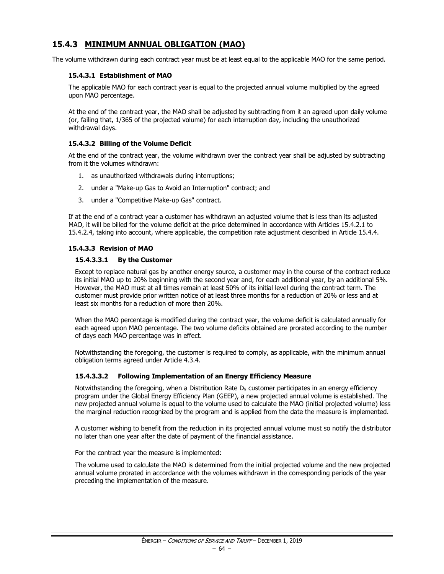# **15.4.3 MINIMUM ANNUAL OBLIGATION (MAO)**

The volume withdrawn during each contract year must be at least equal to the applicable MAO for the same period.

# **15.4.3.1 Establishment of MAO**

The applicable MAO for each contract year is equal to the projected annual volume multiplied by the agreed upon MAO percentage.

At the end of the contract year, the MAO shall be adjusted by subtracting from it an agreed upon daily volume (or, failing that, 1/365 of the projected volume) for each interruption day, including the unauthorized withdrawal days.

### **15.4.3.2 Billing of the Volume Deficit**

At the end of the contract year, the volume withdrawn over the contract year shall be adjusted by subtracting from it the volumes withdrawn:

- 1. as unauthorized withdrawals during interruptions;
- 2. under a "Make-up Gas to Avoid an Interruption" contract; and
- 3. under a "Competitive Make-up Gas" contract.

If at the end of a contract year a customer has withdrawn an adjusted volume that is less than its adjusted MAO, it will be billed for the volume deficit at the price determined in accordance with Articles 15.4.2.1 to 15.4.2.4, taking into account, where applicable, the competition rate adjustment described in Article 15.4.4.

# **15.4.3.3 Revision of MAO**

### **15.4.3.3.1 By the Customer**

Except to replace natural gas by another energy source, a customer may in the course of the contract reduce its initial MAO up to 20% beginning with the second year and, for each additional year, by an additional 5%. However, the MAO must at all times remain at least 50% of its initial level during the contract term. The customer must provide prior written notice of at least three months for a reduction of 20% or less and at least six months for a reduction of more than 20%.

When the MAO percentage is modified during the contract year, the volume deficit is calculated annually for each agreed upon MAO percentage. The two volume deficits obtained are prorated according to the number of days each MAO percentage was in effect.

Notwithstanding the foregoing, the customer is required to comply, as applicable, with the minimum annual obligation terms agreed under Article 4.3.4.

#### **15.4.3.3.2 Following Implementation of an Energy Efficiency Measure**

Notwithstanding the foregoing, when a Distribution Rate  $D<sub>5</sub>$  customer participates in an energy efficiency program under the Global Energy Efficiency Plan (GEEP), a new projected annual volume is established. The new projected annual volume is equal to the volume used to calculate the MAO (initial projected volume) less the marginal reduction recognized by the program and is applied from the date the measure is implemented.

A customer wishing to benefit from the reduction in its projected annual volume must so notify the distributor no later than one year after the date of payment of the financial assistance.

#### For the contract year the measure is implemented:

The volume used to calculate the MAO is determined from the initial projected volume and the new projected annual volume prorated in accordance with the volumes withdrawn in the corresponding periods of the year preceding the implementation of the measure.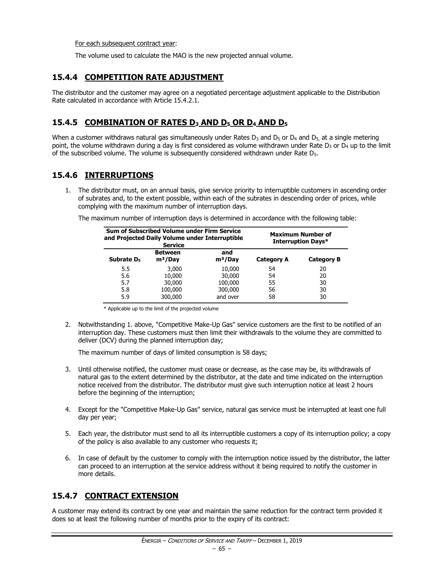For each subsequent contract year:

The volume used to calculate the MAO is the new projected annual volume.

# **15.4.4 COMPETITION RATE ADJUSTMENT**

The distributor and the customer may agree on a negotiated percentage adjustment applicable to the Distribution Rate calculated in accordance with Article 15.4.2.1.

# **15.4.5 COMBINATION OF RATES D<sup>3</sup> AND D<sup>5</sup> OR D<sup>4</sup> AND D<sup>5</sup>**

When a customer withdraws natural gas simultaneously under Rates  $D_3$  and  $D_5$  or  $D_4$  and  $D_5$ , at a single metering point, the volume withdrawn during a day is first considered as volume withdrawn under Rate  $D_3$  or  $D_4$  up to the limit of the subscribed volume. The volume is subsequently considered withdrawn under Rate  $D_5$ .

# **15.4.6 INTERRUPTIONS**

1. The distributor must, on an annual basis, give service priority to interruptible customers in ascending order of subrates and, to the extent possible, within each of the subrates in descending order of prices, while complying with the maximum number of interruption days.

The maximum number of interruption days is determined in accordance with the following table:

| Sum of Subscribed Volume under Firm Service<br>and Projected Daily Volume under Interruptible<br><b>Service</b> |                             |                  | <b>Maximum Number of</b><br>Interruption Days* |                   |
|-----------------------------------------------------------------------------------------------------------------|-----------------------------|------------------|------------------------------------------------|-------------------|
| Subrate D <sub>5</sub>                                                                                          | <b>Between</b><br>$m^3/Day$ | and<br>$m^3/Day$ | <b>Category A</b>                              | <b>Category B</b> |
| 5.5                                                                                                             | 3,000                       | 10,000           | 54                                             | 20                |
| 5.6                                                                                                             | 10,000                      | 30,000           | 54                                             | 20                |
| 5.7                                                                                                             | 30,000                      | 100,000          | 55                                             | 30                |
| 5.8                                                                                                             | 100,000                     | 300,000          | 56                                             | 30                |
| 5.9                                                                                                             | 300,000                     | and over         | 58                                             | 30                |

\* Applicable up to the limit of the projected volume

2. Notwithstanding 1. above, "Competitive Make-Up Gas" service customers are the first to be notified of an interruption day. These customers must then limit their withdrawals to the volume they are committed to deliver (DCV) during the planned interruption day;

The maximum number of days of limited consumption is 58 days;

- 3. Until otherwise notified, the customer must cease or decrease, as the case may be, its withdrawals of natural gas to the extent determined by the distributor, at the date and time indicated on the interruption notice received from the distributor. The distributor must give such interruption notice at least 2 hours before the beginning of the interruption;
- 4. Except for the "Competitive Make-Up Gas" service, natural gas service must be interrupted at least one full day per year;
- 5. Each year, the distributor must send to all its interruptible customers a copy of its interruption policy; a copy of the policy is also available to any customer who requests it;
- 6. In case of default by the customer to comply with the interruption notice issued by the distributor, the latter can proceed to an interruption at the service address without it being required to notify the customer in more details.

# **15.4.7 CONTRACT EXTENSION**

A customer may extend its contract by one year and maintain the same reduction for the contract term provided it does so at least the following number of months prior to the expiry of its contract: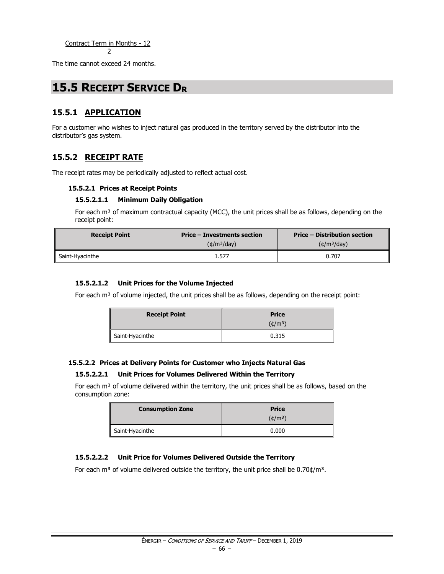The time cannot exceed 24 months.

# **15.5 RECEIPT SERVICE D<sup>R</sup>**

# **15.5.1 APPLICATION**

For a customer who wishes to inject natural gas produced in the territory served by the distributor into the distributor's gas system.

# **15.5.2 RECEIPT RATE**

The receipt rates may be periodically adjusted to reflect actual cost.

### **15.5.2.1 Prices at Receipt Points**

### **15.5.2.1.1 Minimum Daily Obligation**

For each  $m<sup>3</sup>$  of maximum contractual capacity (MCC), the unit prices shall be as follows, depending on the receipt point:

| <b>Receipt Point</b> | <b>Price – Investments section</b> | <b>Price – Distribution section</b> |
|----------------------|------------------------------------|-------------------------------------|
|                      | $(\text{t/m}^3/\text{day})$        | $(\text{t/m}^3/\text{day})$         |
| Saint-Hyacinthe      | 1.577                              | 0.707                               |

### **15.5.2.1.2 Unit Prices for the Volume Injected**

For each  $m<sup>3</sup>$  of volume injected, the unit prices shall be as follows, depending on the receipt point:

| <b>Receipt Point</b> | <b>Price</b><br>$(\phi/m^3)$ |
|----------------------|------------------------------|
| Saint-Hyacinthe      | 0.315                        |

#### **15.5.2.2 Prices at Delivery Points for Customer who Injects Natural Gas**

#### **15.5.2.2.1 Unit Prices for Volumes Delivered Within the Territory**

For each  $m<sup>3</sup>$  of volume delivered within the territory, the unit prices shall be as follows, based on the consumption zone:

| <b>Consumption Zone</b> | <b>Price</b> |  |
|-------------------------|--------------|--|
|                         | $(\phi/m^3)$ |  |
| Saint-Hyacinthe         | 0.000        |  |

#### **15.5.2.2.2 Unit Price for Volumes Delivered Outside the Territory**

For each m<sup>3</sup> of volume delivered outside the territory, the unit price shall be  $0.70 \frac{\text{d}}{\text{m}^3}$ .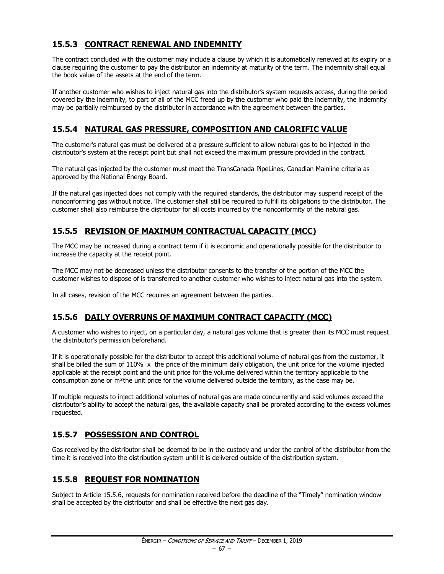# **15.5.3 CONTRACT RENEWAL AND INDEMNITY**

The contract concluded with the customer may include a clause by which it is automatically renewed at its expiry or a clause requiring the customer to pay the distributor an indemnity at maturity of the term. The indemnity shall equal the book value of the assets at the end of the term.

If another customer who wishes to inject natural gas into the distributor's system requests access, during the period covered by the indemnity, to part of all of the MCC freed up by the customer who paid the indemnity, the indemnity may be partially reimbursed by the distributor in accordance with the agreement between the parties.

# **15.5.4 NATURAL GAS PRESSURE, COMPOSITION AND CALORIFIC VALUE**

The customer's natural gas must be delivered at a pressure sufficient to allow natural gas to be injected in the distributor's system at the receipt point but shall not exceed the maximum pressure provided in the contract.

The natural gas injected by the customer must meet the TransCanada PipeLines, Canadian Mainline criteria as approved by the National Energy Board.

If the natural gas injected does not comply with the required standards, the distributor may suspend receipt of the nonconforming gas without notice. The customer shall still be required to fulfill its obligations to the distributor. The customer shall also reimburse the distributor for all costs incurred by the nonconformity of the natural gas.

# **15.5.5 REVISION OF MAXIMUM CONTRACTUAL CAPACITY (MCC)**

The MCC may be increased during a contract term if it is economic and operationally possible for the distributor to increase the capacity at the receipt point.

The MCC may not be decreased unless the distributor consents to the transfer of the portion of the MCC the customer wishes to dispose of is transferred to another customer who wishes to inject natural gas into the system.

In all cases, revision of the MCC requires an agreement between the parties.

# **15.5.6 DAILY OVERRUNS OF MAXIMUM CONTRACT CAPACITY (MCC)**

A customer who wishes to inject, on a particular day, a natural gas volume that is greater than its MCC must request the distributor's permission beforehand.

If it is operationally possible for the distributor to accept this additional volume of natural gas from the customer, it shall be billed the sum of  $110\%$  x the price of the minimum daily obligation, the unit price for the volume injected applicable at the receipt point and the unit price for the volume delivered within the territory applicable to the consumption zone or  $m<sup>3</sup>$ the unit price for the volume delivered outside the territory, as the case may be.

If multiple requests to inject additional volumes of natural gas are made concurrently and said volumes exceed the distributor's ability to accept the natural gas, the available capacity shall be prorated according to the excess volumes requested.

# **15.5.7 POSSESSION AND CONTROL**

Gas received by the distributor shall be deemed to be in the custody and under the control of the distributor from the time it is received into the distribution system until it is delivered outside of the distribution system.

# **15.5.8 REQUEST FOR NOMINATION**

Subject to Article 15.5.6, requests for nomination received before the deadline of the "Timely" nomination window shall be accepted by the distributor and shall be effective the next gas day.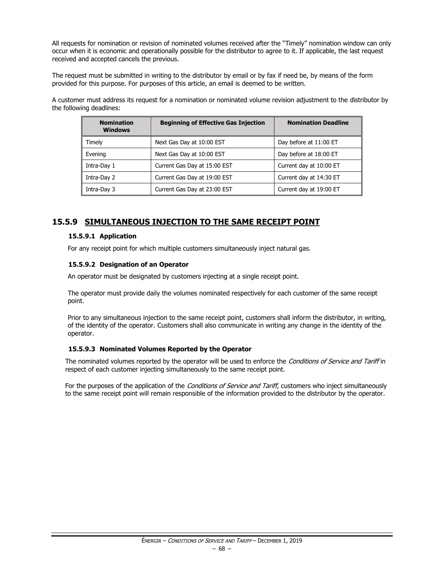All requests for nomination or revision of nominated volumes received after the "Timely" nomination window can only occur when it is economic and operationally possible for the distributor to agree to it. If applicable, the last request received and accepted cancels the previous.

The request must be submitted in writing to the distributor by email or by fax if need be, by means of the form provided for this purpose. For purposes of this article, an email is deemed to be written.

A customer must address its request for a nomination or nominated volume revision adjustment to the distributor by the following deadlines:

| <b>Nomination</b><br><b>Windows</b> | <b>Beginning of Effective Gas Injection</b> | <b>Nomination Deadline</b> |
|-------------------------------------|---------------------------------------------|----------------------------|
| Timely                              | Next Gas Day at 10:00 EST                   | Day before at 11:00 ET     |
| Evening                             | Next Gas Day at 10:00 EST                   | Day before at 18:00 ET     |
| Intra-Day 1                         | Current Gas Day at 15:00 EST                | Current day at 10:00 ET    |
| Intra-Day 2                         | Current Gas Day at 19:00 EST                | Current day at 14:30 ET    |
| Intra-Day 3                         | Current Gas Day at 23:00 EST                | Current day at 19:00 ET    |

# **15.5.9 SIMULTANEOUS INJECTION TO THE SAME RECEIPT POINT**

#### **15.5.9.1 Application**

For any receipt point for which multiple customers simultaneously inject natural gas.

### **15.5.9.2 Designation of an Operator**

An operator must be designated by customers injecting at a single receipt point.

The operator must provide daily the volumes nominated respectively for each customer of the same receipt point.

Prior to any simultaneous injection to the same receipt point, customers shall inform the distributor, in writing, of the identity of the operator. Customers shall also communicate in writing any change in the identity of the operator.

#### **15.5.9.3 Nominated Volumes Reported by the Operator**

The nominated volumes reported by the operator will be used to enforce the Conditions of Service and Tariff in respect of each customer injecting simultaneously to the same receipt point.

For the purposes of the application of the Conditions of Service and Tariff, customers who inject simultaneously to the same receipt point will remain responsible of the information provided to the distributor by the operator.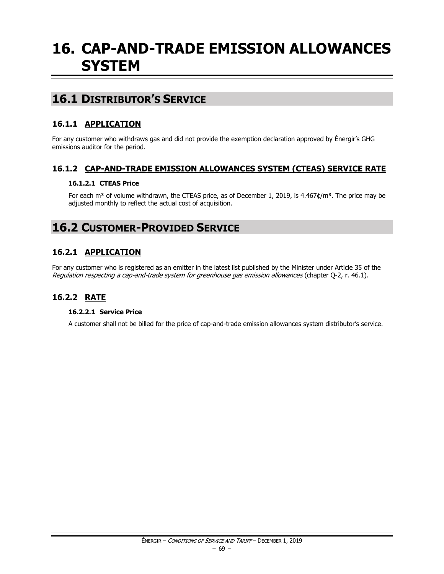# **16. CAP-AND-TRADE EMISSION ALLOWANCES SYSTEM**

# **16.1 DISTRIBUTOR'S SERVICE**

# **16.1.1 APPLICATION**

For any customer who withdraws gas and did not provide the exemption declaration approved by Énergir's GHG emissions auditor for the period.

# **16.1.2 CAP-AND-TRADE EMISSION ALLOWANCES SYSTEM (CTEAS) SERVICE RATE**

# **16.1.2.1 CTEAS Price**

For each m<sup>3</sup> of volume withdrawn, the CTEAS price, as of December 1, 2019, is 4.467¢/m<sup>3</sup>. The price may be adjusted monthly to reflect the actual cost of acquisition.

# **16.2 CUSTOMER-PROVIDED SERVICE**

# **16.2.1 APPLICATION**

For any customer who is registered as an emitter in the latest list published by the Minister under Article 35 of the Regulation respecting a cap-and-trade system for greenhouse gas emission allowances (chapter Q-2, r. 46.1).

# **16.2.2 RATE**

# **16.2.2.1 Service Price**

A customer shall not be billed for the price of cap-and-trade emission allowances system distributor's service.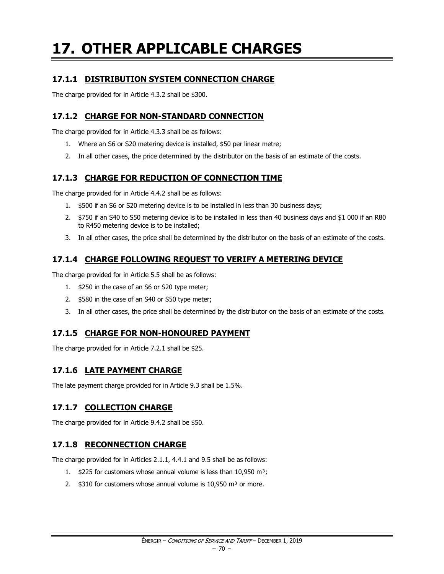# **17. OTHER APPLICABLE CHARGES**

# **17.1.1 DISTRIBUTION SYSTEM CONNECTION CHARGE**

The charge provided for in Article 4.3.2 shall be \$300.

# **17.1.2 CHARGE FOR NON-STANDARD CONNECTION**

The charge provided for in Article 4.3.3 shall be as follows:

- 1. Where an S6 or S20 metering device is installed, \$50 per linear metre;
- 2. In all other cases, the price determined by the distributor on the basis of an estimate of the costs.

# **17.1.3 CHARGE FOR REDUCTION OF CONNECTION TIME**

The charge provided for in Article 4.4.2 shall be as follows:

- 1. \$500 if an S6 or S20 metering device is to be installed in less than 30 business days;
- 2. \$750 if an S40 to S50 metering device is to be installed in less than 40 business days and \$1 000 if an R80 to R450 metering device is to be installed;
- 3. In all other cases, the price shall be determined by the distributor on the basis of an estimate of the costs.

# **17.1.4 CHARGE FOLLOWING REQUEST TO VERIFY A METERING DEVICE**

The charge provided for in Article 5.5 shall be as follows:

- 1. \$250 in the case of an S6 or S20 type meter;
- 2. \$580 in the case of an S40 or S50 type meter;
- 3. In all other cases, the price shall be determined by the distributor on the basis of an estimate of the costs.

# **17.1.5 CHARGE FOR NON-HONOURED PAYMENT**

The charge provided for in Article 7.2.1 shall be \$25.

# **17.1.6 LATE PAYMENT CHARGE**

The late payment charge provided for in Article 9.3 shall be 1.5%.

# **17.1.7 COLLECTION CHARGE**

The charge provided for in Article 9.4.2 shall be \$50.

# **17.1.8 RECONNECTION CHARGE**

The charge provided for in Articles 2.1.1, 4.4.1 and 9.5 shall be as follows:

- 1.  $$225$  for customers whose annual volume is less than 10,950 m<sup>3</sup>;
- 2.  $$310$  for customers whose annual volume is 10,950 m<sup>3</sup> or more.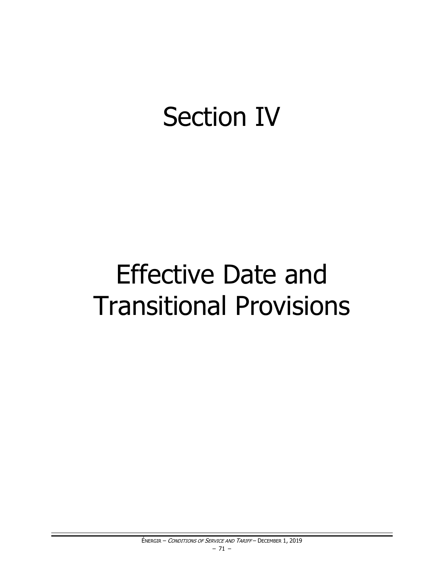# **Section IV**

# **Effective Date and Transitional Provisions**